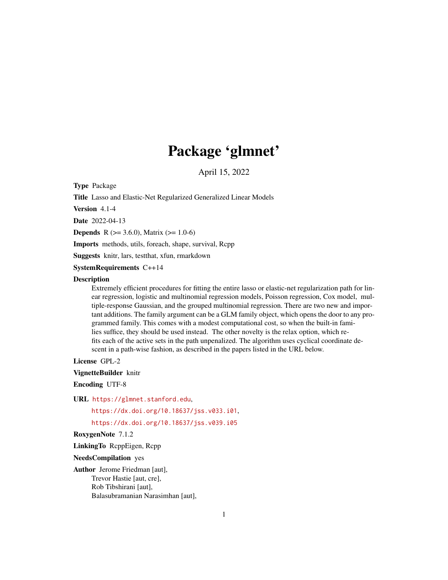# Package 'glmnet'

April 15, 2022

<span id="page-0-0"></span>Type Package

Title Lasso and Elastic-Net Regularized Generalized Linear Models

Version 4.1-4

Date 2022-04-13

**Depends** R ( $>= 3.6.0$ ), Matrix ( $>= 1.0-6$ )

Imports methods, utils, foreach, shape, survival, Rcpp

Suggests knitr, lars, testthat, xfun, rmarkdown

SystemRequirements C++14

#### **Description**

Extremely efficient procedures for fitting the entire lasso or elastic-net regularization path for linear regression, logistic and multinomial regression models, Poisson regression, Cox model, multiple-response Gaussian, and the grouped multinomial regression. There are two new and important additions. The family argument can be a GLM family object, which opens the door to any programmed family. This comes with a modest computational cost, so when the built-in families suffice, they should be used instead. The other novelty is the relax option, which refits each of the active sets in the path unpenalized. The algorithm uses cyclical coordinate descent in a path-wise fashion, as described in the papers listed in the URL below.

License GPL-2

VignetteBuilder knitr

Encoding UTF-8

URL <https://glmnet.stanford.edu>,

<https://dx.doi.org/10.18637/jss.v033.i01>,

<https://dx.doi.org/10.18637/jss.v039.i05>

RoxygenNote 7.1.2

LinkingTo RcppEigen, Rcpp

NeedsCompilation yes

Author Jerome Friedman [aut], Trevor Hastie [aut, cre], Rob Tibshirani [aut], Balasubramanian Narasimhan [aut],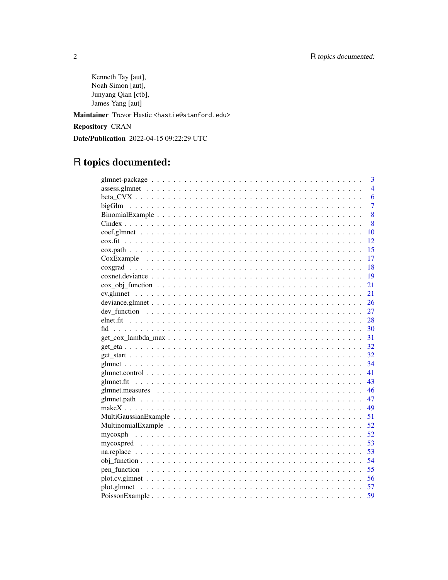Kenneth Tay [aut], Noah Simon [aut], Junyang Qian [ctb], James Yang [aut]

Maintainer Trevor Hastie <hastie@stanford.edu>

Repository CRAN

Date/Publication 2022-04-15 09:22:29 UTC

# R topics documented:

|                                                                                                                        | $\overline{4}$<br>6<br>$\overline{7}$<br>8<br>8<br>10<br>12<br>15<br>17<br>18 |
|------------------------------------------------------------------------------------------------------------------------|-------------------------------------------------------------------------------|
|                                                                                                                        |                                                                               |
|                                                                                                                        |                                                                               |
|                                                                                                                        |                                                                               |
|                                                                                                                        |                                                                               |
|                                                                                                                        |                                                                               |
|                                                                                                                        |                                                                               |
|                                                                                                                        |                                                                               |
|                                                                                                                        |                                                                               |
|                                                                                                                        |                                                                               |
|                                                                                                                        |                                                                               |
|                                                                                                                        | 19                                                                            |
|                                                                                                                        | 21                                                                            |
|                                                                                                                        | 21                                                                            |
|                                                                                                                        | 26                                                                            |
|                                                                                                                        | 27                                                                            |
|                                                                                                                        | 28                                                                            |
|                                                                                                                        | 30                                                                            |
|                                                                                                                        | 31                                                                            |
|                                                                                                                        | 32                                                                            |
|                                                                                                                        | 32                                                                            |
|                                                                                                                        | 34                                                                            |
|                                                                                                                        | 41                                                                            |
|                                                                                                                        | 43                                                                            |
|                                                                                                                        | 46                                                                            |
|                                                                                                                        | 47                                                                            |
|                                                                                                                        | 49                                                                            |
| - 51                                                                                                                   |                                                                               |
|                                                                                                                        | - 52                                                                          |
|                                                                                                                        |                                                                               |
|                                                                                                                        | 53                                                                            |
|                                                                                                                        | 53                                                                            |
|                                                                                                                        | 54                                                                            |
|                                                                                                                        | 55                                                                            |
| $plot.cv.glmnet \dots \dots \dots \dots \dots \dots \dots \dots \dots \dots \dots \dots \dots \dots \dots \dots \dots$ | 56                                                                            |
|                                                                                                                        | 57                                                                            |
|                                                                                                                        | 59                                                                            |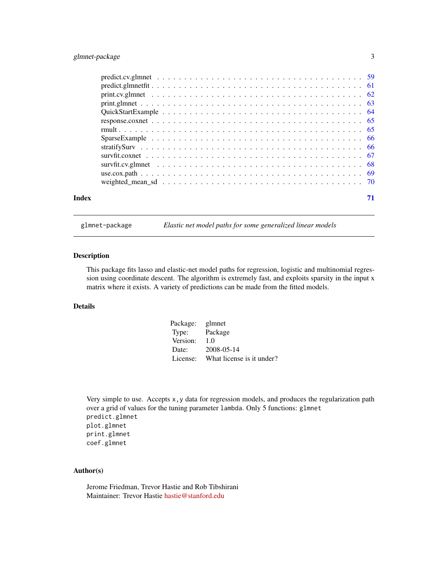# <span id="page-2-0"></span>glmnet-package 3

| Index |  |
|-------|--|

glmnet-package *Elastic net model paths for some generalized linear models*

# Description

This package fits lasso and elastic-net model paths for regression, logistic and multinomial regression using coordinate descent. The algorithm is extremely fast, and exploits sparsity in the input x matrix where it exists. A variety of predictions can be made from the fitted models.

# Details

| Package: | glmnet                    |
|----------|---------------------------|
| Type:    | Package                   |
| Version: | 1.0                       |
| Date:    | 2008-05-14                |
| License: | What license is it under? |

Very simple to use. Accepts x,y data for regression models, and produces the regularization path over a grid of values for the tuning parameter lambda. Only 5 functions: glmnet predict.glmnet plot.glmnet print.glmnet coef.glmnet

# Author(s)

Jerome Friedman, Trevor Hastie and Rob Tibshirani Maintainer: Trevor Hastie [hastie@stanford.edu](mailto:hastie@stanford.edu)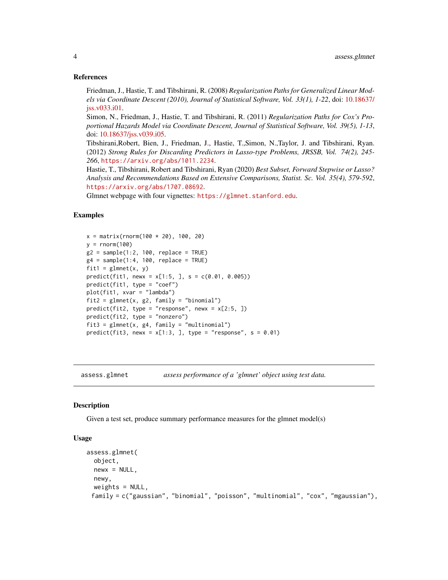#### References

Friedman, J., Hastie, T. and Tibshirani, R. (2008) *Regularization Paths for Generalized Linear Models via Coordinate Descent (2010), Journal of Statistical Software, Vol. 33(1), 1-22*, doi: [10.18637/](https://doi.org/10.18637/jss.v033.i01) [jss.v033.i01.](https://doi.org/10.18637/jss.v033.i01)

Simon, N., Friedman, J., Hastie, T. and Tibshirani, R. (2011) *Regularization Paths for Cox's Proportional Hazards Model via Coordinate Descent, Journal of Statistical Software, Vol. 39(5), 1-13*, doi: [10.18637/jss.v039.i05.](https://doi.org/10.18637/jss.v039.i05)

Tibshirani,Robert, Bien, J., Friedman, J., Hastie, T.,Simon, N.,Taylor, J. and Tibshirani, Ryan. (2012) *Strong Rules for Discarding Predictors in Lasso-type Problems, JRSSB, Vol. 74(2), 245- 266*, <https://arxiv.org/abs/1011.2234>.

Hastie, T., Tibshirani, Robert and Tibshirani, Ryan (2020) *Best Subset, Forward Stepwise or Lasso? Analysis and Recommendations Based on Extensive Comparisons, Statist. Sc. Vol. 35(4), 579-592*, <https://arxiv.org/abs/1707.08692>.

Glmnet webpage with four vignettes: <https://glmnet.stanford.edu>.

#### Examples

```
x = matrix(rnorm(100 * 20), 100, 20)y = rnorm(100)g2 = sample(1:2, 100, replace = TRUE)g4 = sample(1:4, 100, replace = TRUE)fit1 = glmnet(x, y)predict(fit1, newx = x[1:5, ], s = c(0.01, 0.005))predict(fit1, type = "coef")
plot(fit1, xvar = "lambda")
fit2 = glmnet(x, g2, family = "binomial")predict(fit2, type = "response", newx = x[2:5, ])predict(fit2, type = "nonzero")
fits = glmnet(x, g4, family = "multinomial")predict(fit3, newx = x[1:3, ], type = "response", s = 0.01)
```
assess.glmnet *assess performance of a 'glmnet' object using test data.*

#### **Description**

Given a test set, produce summary performance measures for the glmnet model(s)

# Usage

```
assess.glmnet(
 object,
 newx = NULL,
 newy,
  weights = NULL,family = c("gaussian", "binomial", "poisson", "multinomial", "cox", "mgaussian"),
```
<span id="page-3-0"></span>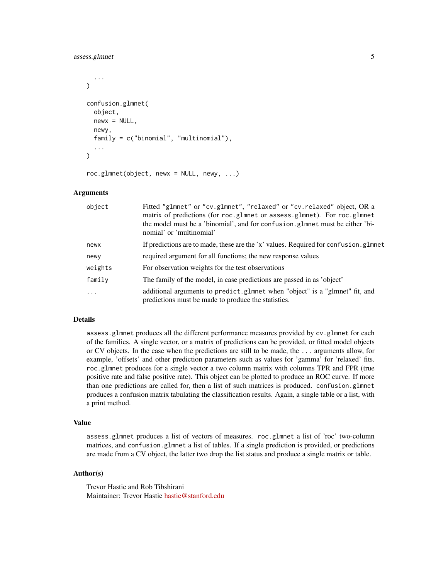# assess.glmnet 5

```
...
\lambdaconfusion.glmnet(
  object,
  newx = NULL,newy,
  family = c("binomial", "multinomial"),
  ...
)
```

```
roc.glmnet(object, newx = NULL, newy, ...)
```
#### Arguments

| object   | Fitted "glmnet" or "cv.glmnet", "relaxed" or "cv.relaxed" object, OR a<br>matrix of predictions (for roc.glmnet or assess.glmnet). For roc.glmnet<br>the model must be a 'binomial', and for confusion. glmnet must be either 'bi-<br>nomial' or 'multinomial' |
|----------|----------------------------------------------------------------------------------------------------------------------------------------------------------------------------------------------------------------------------------------------------------------|
| newx     | If predictions are to made, these are the 'x' values. Required for confusion.glmnet                                                                                                                                                                            |
| newy     | required argument for all functions; the new response values                                                                                                                                                                                                   |
| weights  | For observation weights for the test observations                                                                                                                                                                                                              |
| family   | The family of the model, in case predictions are passed in as 'object'                                                                                                                                                                                         |
| $\cdots$ | additional arguments to predict.g1mnet when "object" is a "g1mnet" fit, and<br>predictions must be made to produce the statistics.                                                                                                                             |

# Details

assess.glmnet produces all the different performance measures provided by cv.glmnet for each of the families. A single vector, or a matrix of predictions can be provided, or fitted model objects or CV objects. In the case when the predictions are still to be made, the ... arguments allow, for example, 'offsets' and other prediction parameters such as values for 'gamma' for 'relaxed' fits. roc.glmnet produces for a single vector a two column matrix with columns TPR and FPR (true positive rate and false positive rate). This object can be plotted to produce an ROC curve. If more than one predictions are called for, then a list of such matrices is produced. confusion.glmnet produces a confusion matrix tabulating the classification results. Again, a single table or a list, with a print method.

# Value

assess.glmnet produces a list of vectors of measures. roc.glmnet a list of 'roc' two-column matrices, and confusion.glmnet a list of tables. If a single prediction is provided, or predictions are made from a CV object, the latter two drop the list status and produce a single matrix or table.

#### Author(s)

Trevor Hastie and Rob Tibshirani Maintainer: Trevor Hastie [hastie@stanford.edu](mailto:hastie@stanford.edu)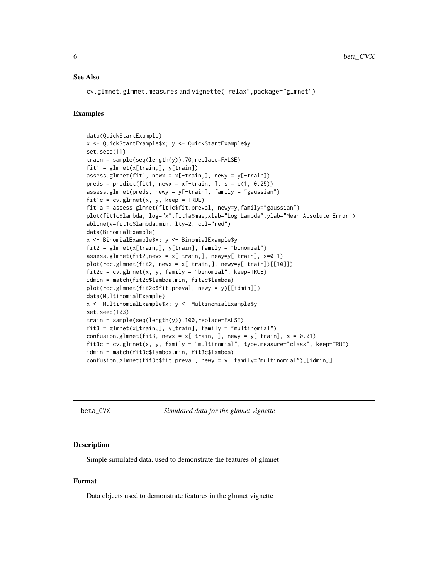#### <span id="page-5-0"></span>See Also

cv.glmnet, glmnet.measures and vignette("relax",package="glmnet")

#### Examples

```
data(QuickStartExample)
x <- QuickStartExample$x; y <- QuickStartExample$y
set.seed(11)
train = sample(seq(length(y)),70,replace=FALSE)
fit1 = glmnet(x[train,], y[train])
assess.glmnet(fit1, newx = x[-train,], newy = y[-train])preds = predict(fit1, newx = x[-train, ], s = c(1, 0.25))assess.glmnet(preds, newy = y[-train], family = "gaussian")
fit1c = cv.glmnet(x, y, keep = TRUE)fit1a = assess.glmnet(fit1c$fit.preval, newy=y,family="gaussian")
plot(fit1c$lambda, log="x",fit1a$mae,xlab="Log Lambda",ylab="Mean Absolute Error")
abline(v=fit1c$lambda.min, lty=2, col="red")
data(BinomialExample)
x <- BinomialExample$x; y <- BinomialExample$y
fit2 = glmnet(x[train,], y[train], family = "binomial")
assess.glmnet(fit2,newx = x[-train,], newy=y[-train], s=0.1)
plot(roc.glmnet(fit2, newx = x[-train,], newy=y[-train])[[10]])
fit2c = cv.glmnet(x, y, family = "binomial", keep=TRUE)idmin = match(fit2c$lambda.min, fit2c$lambda)
plot(roc.glmnet(fit2c$fit.preval, newy = y)[[idmin]])
data(MultinomialExample)
x <- MultinomialExample$x; y <- MultinomialExample$y
set.seed(103)
train = sample(seq(length(y)),100,replace=FALSE)
fit3 = glmnet(x[train,], y[train], family = "multinomial")
confusion.glmnet(fit3, newx = x[-train, ], newy = y[-train], s = 0.01)
fit3c = cv.glmnet(x, y, family = "multinomial", type.measure="class", keep=TRUE)
idmin = match(fit3c$lambda.min, fit3c$lambda)
confusion.glmnet(fit3c$fit.preval, newy = y, family="multinomial")[[idmin]]
```
beta\_CVX *Simulated data for the glmnet vignette*

#### **Description**

Simple simulated data, used to demonstrate the features of glmnet

#### Format

Data objects used to demonstrate features in the glmnet vignette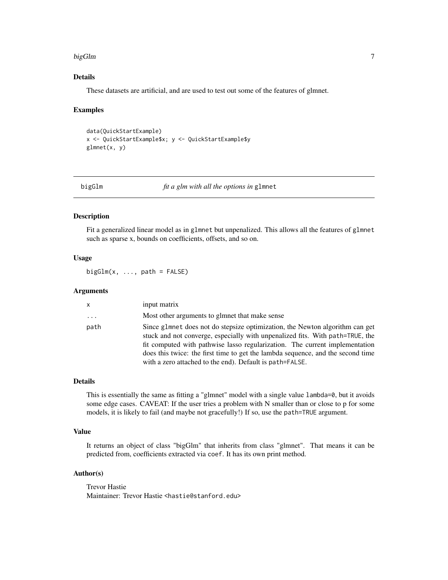#### <span id="page-6-0"></span>bigGlm 7

# Details

These datasets are artificial, and are used to test out some of the features of glmnet.

#### Examples

```
data(QuickStartExample)
x <- QuickStartExample$x; y <- QuickStartExample$y
glmnet(x, y)
```

|  | х | ùП. | ı | m |
|--|---|-----|---|---|
|  |   |     |   |   |

bigGlm *fit a glm with all the options in* glmnet

#### Description

Fit a generalized linear model as in glmnet but unpenalized. This allows all the features of glmnet such as sparse x, bounds on coefficients, offsets, and so on.

#### Usage

 $bigGlm(x, ..., path = FALSE)$ 

#### Arguments

| $\mathsf{X}$ | input matrix                                                                                                                                                                                                                                                                                                                                                                                |
|--------------|---------------------------------------------------------------------------------------------------------------------------------------------------------------------------------------------------------------------------------------------------------------------------------------------------------------------------------------------------------------------------------------------|
| .            | Most other arguments to glmnet that make sense                                                                                                                                                                                                                                                                                                                                              |
| path         | Since glmnet does not do stepsize optimization, the Newton algorithm can get<br>stuck and not converge, especially with unpenalized fits. With path=TRUE, the<br>fit computed with pathwise lasso regularization. The current implementation<br>does this twice: the first time to get the lambda sequence, and the second time<br>with a zero attached to the end). Default is path=FALSE. |

#### Details

This is essentially the same as fitting a "glmnet" model with a single value lambda=0, but it avoids some edge cases. CAVEAT: If the user tries a problem with N smaller than or close to p for some models, it is likely to fail (and maybe not gracefully!) If so, use the path=TRUE argument.

# Value

It returns an object of class "bigGlm" that inherits from class "glmnet". That means it can be predicted from, coefficients extracted via coef. It has its own print method.

#### Author(s)

Trevor Hastie Maintainer: Trevor Hastie <hastie@stanford.edu>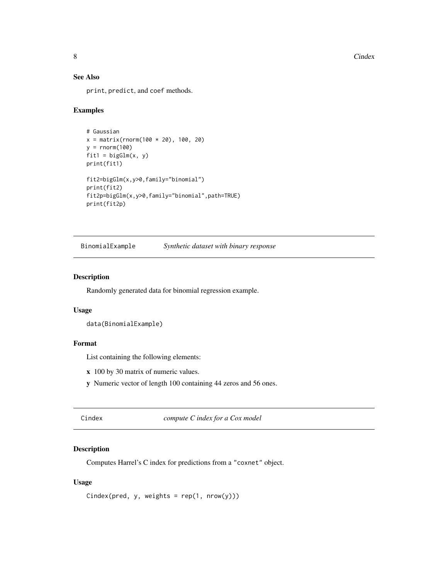8 Cindex and the contract of the contract of the contract of the contract of the contract of the contract of the contract of the contract of the contract of the contract of the contract of the contract of the contract of t

# See Also

print, predict, and coef methods.

#### Examples

```
# Gaussian
x = matrix(rnorm(100 * 20), 100, 20)y = rnorm(100)fit1 = bigGlm(x, y)print(fit1)
fit2=bigGlm(x,y>0,family="binomial")
print(fit2)
fit2p=bigGlm(x,y>0,family="binomial",path=TRUE)
print(fit2p)
```
BinomialExample *Synthetic dataset with binary response*

# Description

Randomly generated data for binomial regression example.

# Usage

```
data(BinomialExample)
```
# Format

List containing the following elements:

- x 100 by 30 matrix of numeric values.
- y Numeric vector of length 100 containing 44 zeros and 56 ones.

Cindex *compute C index for a Cox model*

# Description

Computes Harrel's C index for predictions from a "coxnet" object.

#### Usage

```
Cindex(pred, y, weights = rep(1, nrow(y)))
```
<span id="page-7-0"></span>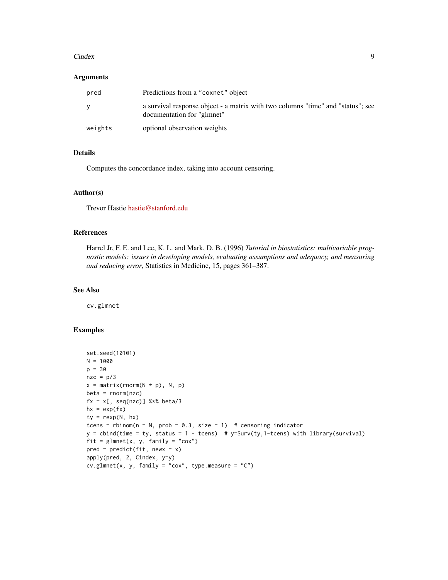#### Cindex 9

#### Arguments

| pred    | Predictions from a "coxnet" object                                                                            |
|---------|---------------------------------------------------------------------------------------------------------------|
| v       | a survival response object - a matrix with two columns "time" and "status"; see<br>documentation for "glmnet" |
| weights | optional observation weights                                                                                  |

# Details

Computes the concordance index, taking into account censoring.

# Author(s)

Trevor Hastie [hastie@stanford.edu](mailto:hastie@stanford.edu)

# References

Harrel Jr, F. E. and Lee, K. L. and Mark, D. B. (1996) *Tutorial in biostatistics: multivariable prognostic models: issues in developing models, evaluating assumptions and adequacy, and measuring and reducing error*, Statistics in Medicine, 15, pages 361–387.

#### See Also

cv.glmnet

# Examples

```
set.seed(10101)
N = 1000
p = 30nze = p/3x = matrix(rnorm(N * p), N, p)beta = rnorm(nzc)fx = x[, seq(nzc)] %*% beta/3
hx = exp(fx)ty = \text{rexp}(N, hx)tcens = rbinom(n = N, prob = 0.3, size = 1) # censoring indicator
y = \text{chind}(\text{time} = \text{ty}, \text{ status} = 1 - \text{teens}) # y = \text{Surv}(\text{ty}, 1 - \text{teens}) with library(survival)
fit = glmnet(x, y, family = "cox")pred = predict(fit, newx = x)apply(pred, 2, Cindex, y=y)
cv.glmnet(x, y, family = "cox", type. measure = "C")
```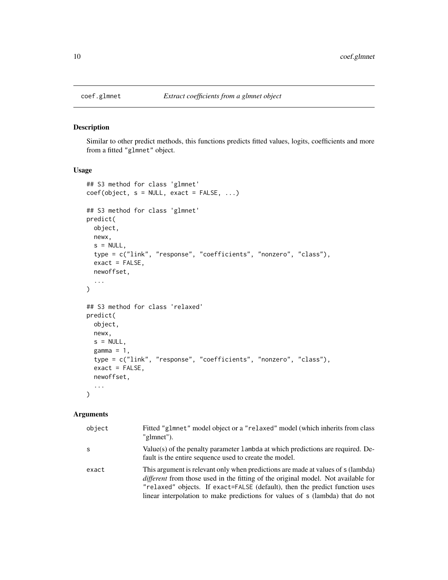<span id="page-9-0"></span>

#### Description

Similar to other predict methods, this functions predicts fitted values, logits, coefficients and more from a fitted "glmnet" object.

#### Usage

```
## S3 method for class 'glmnet'
coef(object, s = NULL, exact = FALSE, ...)## S3 method for class 'glmnet'
predict(
 object,
 newx,
  s = NULL,type = c("link", "response", "coefficients", "nonzero", "class"),
  exact = FALSE,newoffset,
  ...
\mathcal{L}## S3 method for class 'relaxed'
predict(
 object,
 newx,
 s = NULL,gamma = 1,
  type = c("link", "response", "coefficients", "nonzero", "class"),
  exact = FALSE,
 newoffset,
  ...
)
```

| object | Fitted "glmnet" model object or a "relaxed" model (which inherits from class<br>"glmnet").                                                                                                                                                                                                                                            |
|--------|---------------------------------------------------------------------------------------------------------------------------------------------------------------------------------------------------------------------------------------------------------------------------------------------------------------------------------------|
| S      | Value(s) of the penalty parameter 1 ambda at which predictions are required. De-<br>fault is the entire sequence used to create the model.                                                                                                                                                                                            |
| exact  | This argument is relevant only when predictions are made at values of s (lambda)<br>different from those used in the fitting of the original model. Not available for<br>"relaxed" objects. If exact=FALSE (default), then the predict function uses<br>linear interpolation to make predictions for values of s (lambda) that do not |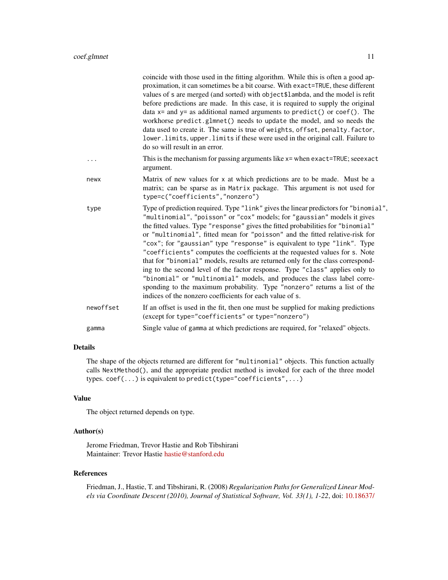|           | coincide with those used in the fitting algorithm. While this is often a good ap-<br>proximation, it can sometimes be a bit coarse. With exact=TRUE, these different<br>values of s are merged (and sorted) with object\$lambda, and the model is refit<br>before predictions are made. In this case, it is required to supply the original<br>data $x =$ and $y =$ as additional named arguments to predict() or coef(). The<br>workhorse predict.glmnet() needs to update the model, and so needs the<br>data used to create it. The same is true of weights, offset, penalty. factor,<br>lower. limits, upper. limits if these were used in the original call. Failure to<br>do so will result in an error.                                                                                                                                                                          |
|-----------|-----------------------------------------------------------------------------------------------------------------------------------------------------------------------------------------------------------------------------------------------------------------------------------------------------------------------------------------------------------------------------------------------------------------------------------------------------------------------------------------------------------------------------------------------------------------------------------------------------------------------------------------------------------------------------------------------------------------------------------------------------------------------------------------------------------------------------------------------------------------------------------------|
| .         | This is the mechanism for passing arguments like x= when exact=TRUE; see exact<br>argument.                                                                                                                                                                                                                                                                                                                                                                                                                                                                                                                                                                                                                                                                                                                                                                                             |
| newx      | Matrix of new values for x at which predictions are to be made. Must be a<br>matrix; can be sparse as in Matrix package. This argument is not used for<br>type=c("coefficients","nonzero")                                                                                                                                                                                                                                                                                                                                                                                                                                                                                                                                                                                                                                                                                              |
| type      | Type of prediction required. Type "link" gives the linear predictors for "binomial",<br>"multinomial", "poisson" or "cox" models; for "gaussian" models it gives<br>the fitted values. Type "response" gives the fitted probabilities for "binomial"<br>or "multinomial", fitted mean for "poisson" and the fitted relative-risk for<br>"cox"; for "gaussian" type "response" is equivalent to type "link". Type<br>"coefficients" computes the coefficients at the requested values for s. Note<br>that for "binomial" models, results are returned only for the class correspond-<br>ing to the second level of the factor response. Type "class" applies only to<br>"binomial" or "multinomial" models, and produces the class label corre-<br>sponding to the maximum probability. Type "nonzero" returns a list of the<br>indices of the nonzero coefficients for each value of s. |
| newoffset | If an offset is used in the fit, then one must be supplied for making predictions<br>(except for type="coefficients" or type="nonzero")                                                                                                                                                                                                                                                                                                                                                                                                                                                                                                                                                                                                                                                                                                                                                 |
| gamma     | Single value of gamma at which predictions are required, for "relaxed" objects.                                                                                                                                                                                                                                                                                                                                                                                                                                                                                                                                                                                                                                                                                                                                                                                                         |
|           |                                                                                                                                                                                                                                                                                                                                                                                                                                                                                                                                                                                                                                                                                                                                                                                                                                                                                         |

# Details

The shape of the objects returned are different for "multinomial" objects. This function actually calls NextMethod(), and the appropriate predict method is invoked for each of the three model types. coef(...) is equivalent to predict(type="coefficients",...)

# Value

The object returned depends on type.

# Author(s)

Jerome Friedman, Trevor Hastie and Rob Tibshirani Maintainer: Trevor Hastie [hastie@stanford.edu](mailto:hastie@stanford.edu)

#### References

Friedman, J., Hastie, T. and Tibshirani, R. (2008) *Regularization Paths for Generalized Linear Models via Coordinate Descent (2010), Journal of Statistical Software, Vol. 33(1), 1-22*, doi: [10.18637/](https://doi.org/10.18637/jss.v033.i01)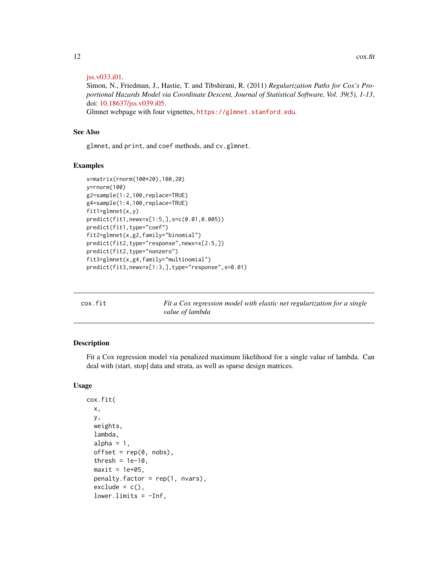#### <span id="page-11-0"></span>[jss.v033.i01.](https://doi.org/10.18637/jss.v033.i01)

Simon, N., Friedman, J., Hastie, T. and Tibshirani, R. (2011) *Regularization Paths for Cox's Proportional Hazards Model via Coordinate Descent, Journal of Statistical Software, Vol. 39(5), 1-13*, doi: [10.18637/jss.v039.i05.](https://doi.org/10.18637/jss.v039.i05)

Glmnet webpage with four vignettes, <https://glmnet.stanford.edu>.

#### See Also

glmnet, and print, and coef methods, and cv.glmnet.

#### Examples

```
x=matrix(rnorm(100*20),100,20)
y=rnorm(100)
g2=sample(1:2,100,replace=TRUE)
g4=sample(1:4,100,replace=TRUE)
fit1=glmnet(x,y)predict(fit1,newx=x[1:5,],s=c(0.01,0.005))
predict(fit1,type="coef")
fit2=glmnet(x,g2,family="binomial")
predict(fit2,type="response",newx=x[2:5,])
predict(fit2,type="nonzero")
fit3=glmnet(x,g4,family="multinomial")
predict(fit3,newx=x[1:3,],type="response",s=0.01)
```
cox.fit *Fit a Cox regression model with elastic net regularization for a single value of lambda*

# Description

Fit a Cox regression model via penalized maximum likelihood for a single value of lambda. Can deal with (start, stop] data and strata, as well as sparse design matrices.

#### Usage

```
cox.fit(
  x,
  y,
  weights,
  lambda,
  alpha = 1,
  offset = rep(0, nobs),
  thresh = 1e-10,
  maxit = 1e+05,
  penalty.factor = rep(1, nvars),
  exclude = c(),
  lower-limits = -Inf,
```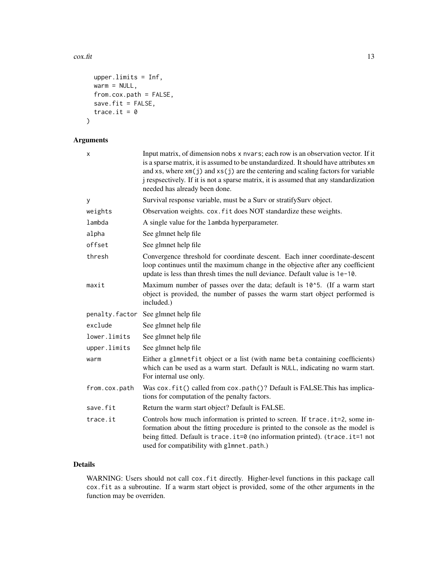#### $\cos x$ .fit 13

```
upper.limits = Inf,
 warm = NULL,from.cox.path = FALSE,
 save.fit = FALSE,
  trace.it = 0)
```
# Arguments

| X             | Input matrix, of dimension nobs x nvars; each row is an observation vector. If it<br>is a sparse matrix, it is assumed to be unstandardized. It should have attributes xm<br>and $xs$ , where $xm(j)$ and $xs(j)$ are the centering and scaling factors for variable<br>j respsectively. If it is not a sparse matrix, it is assumed that any standardization<br>needed has already been done. |
|---------------|------------------------------------------------------------------------------------------------------------------------------------------------------------------------------------------------------------------------------------------------------------------------------------------------------------------------------------------------------------------------------------------------|
| У             | Survival response variable, must be a Surv or stratifySurv object.                                                                                                                                                                                                                                                                                                                             |
| weights       | Observation weights. cox. fit does NOT standardize these weights.                                                                                                                                                                                                                                                                                                                              |
| lambda        | A single value for the lambda hyperparameter.                                                                                                                                                                                                                                                                                                                                                  |
| alpha         | See glmnet help file                                                                                                                                                                                                                                                                                                                                                                           |
| offset        | See glmnet help file                                                                                                                                                                                                                                                                                                                                                                           |
| thresh        | Convergence threshold for coordinate descent. Each inner coordinate-descent<br>loop continues until the maximum change in the objective after any coefficient<br>update is less than thresh times the null deviance. Default value is 1e-10.                                                                                                                                                   |
| maxit         | Maximum number of passes over the data; default is 10^5. (If a warm start<br>object is provided, the number of passes the warm start object performed is<br>included.)                                                                                                                                                                                                                         |
|               | penalty.factor See glmnet help file                                                                                                                                                                                                                                                                                                                                                            |
| exclude       | See glmnet help file                                                                                                                                                                                                                                                                                                                                                                           |
| lower.limits  | See glmnet help file                                                                                                                                                                                                                                                                                                                                                                           |
| upper.limits  | See glmnet help file                                                                                                                                                                                                                                                                                                                                                                           |
| warm          | Either a glmnetfit object or a list (with name beta containing coefficients)<br>which can be used as a warm start. Default is NULL, indicating no warm start.<br>For internal use only.                                                                                                                                                                                                        |
| from.cox.path | Was cox. fit() called from cox. path()? Default is FALSE. This has implica-<br>tions for computation of the penalty factors.                                                                                                                                                                                                                                                                   |
| save.fit      | Return the warm start object? Default is FALSE.                                                                                                                                                                                                                                                                                                                                                |
| trace.it      | Controls how much information is printed to screen. If trace . it=2, some in-<br>formation about the fitting procedure is printed to the console as the model is<br>being fitted. Default is trace.it=0 (no information printed). (trace.it=1 not<br>used for compatibility with glmnet.path.)                                                                                                 |

# Details

WARNING: Users should not call cox.fit directly. Higher-level functions in this package call cox.fit as a subroutine. If a warm start object is provided, some of the other arguments in the function may be overriden.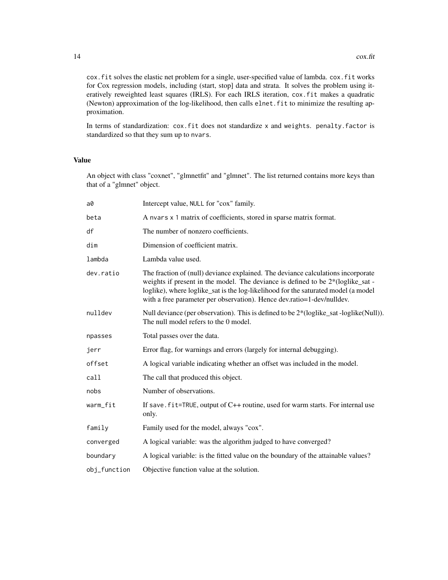cox.fit solves the elastic net problem for a single, user-specified value of lambda. cox.fit works for Cox regression models, including (start, stop] data and strata. It solves the problem using iteratively reweighted least squares (IRLS). For each IRLS iteration, cox.fit makes a quadratic (Newton) approximation of the log-likelihood, then calls elnet.fit to minimize the resulting approximation.

In terms of standardization: cox.fit does not standardize x and weights. penalty.factor is standardized so that they sum up to nvars.

### Value

An object with class "coxnet", "glmnetfit" and "glmnet". The list returned contains more keys than that of a "glmnet" object.

| a0           | Intercept value, NULL for "cox" family.                                                                                                                                                                                                                                                                                               |
|--------------|---------------------------------------------------------------------------------------------------------------------------------------------------------------------------------------------------------------------------------------------------------------------------------------------------------------------------------------|
| beta         | A nvars x 1 matrix of coefficients, stored in sparse matrix format.                                                                                                                                                                                                                                                                   |
| df           | The number of nonzero coefficients.                                                                                                                                                                                                                                                                                                   |
| dim          | Dimension of coefficient matrix.                                                                                                                                                                                                                                                                                                      |
| lambda       | Lambda value used.                                                                                                                                                                                                                                                                                                                    |
| dev.ratio    | The fraction of (null) deviance explained. The deviance calculations incorporate<br>weights if present in the model. The deviance is defined to be $2*(loglike_sat -$<br>loglike), where loglike_sat is the log-likelihood for the saturated model (a model<br>with a free parameter per observation). Hence dev.ratio=1-dev/nulldev. |
| nulldev      | Null deviance (per observation). This is defined to be 2*(loglike_sat -loglike(Null)).<br>The null model refers to the 0 model.                                                                                                                                                                                                       |
| npasses      | Total passes over the data.                                                                                                                                                                                                                                                                                                           |
| jerr         | Error flag, for warnings and errors (largely for internal debugging).                                                                                                                                                                                                                                                                 |
| offset       | A logical variable indicating whether an offset was included in the model.                                                                                                                                                                                                                                                            |
| call         | The call that produced this object.                                                                                                                                                                                                                                                                                                   |
| nobs         | Number of observations.                                                                                                                                                                                                                                                                                                               |
| warm_fit     | If save. $fit = TRUE$ , output of $C++$ routine, used for warm starts. For internal use<br>only.                                                                                                                                                                                                                                      |
| family       | Family used for the model, always "cox".                                                                                                                                                                                                                                                                                              |
| converged    | A logical variable: was the algorithm judged to have converged?                                                                                                                                                                                                                                                                       |
| boundary     | A logical variable: is the fitted value on the boundary of the attainable values?                                                                                                                                                                                                                                                     |
| obj_function | Objective function value at the solution.                                                                                                                                                                                                                                                                                             |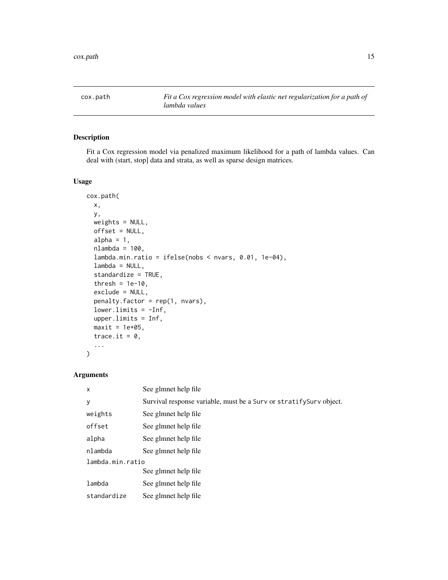<span id="page-14-0"></span>

# Description

Fit a Cox regression model via penalized maximum likelihood for a path of lambda values. Can deal with (start, stop] data and strata, as well as sparse design matrices.

# Usage

```
cox.path(
  x,
 y,
 weights = NULL,
 offset = NULL,
  alpha = 1,
  nlambda = 100,
  lambda.min.ratio = ifelse(nobs < nvars, 0.01, 1e-04),
  lambda = NULL,
  standardize = TRUE,
  thresh = 1e-10,
  exclude = NULL,
  penalty.factor = rep(1, nvars),
  lower.limits = -Inf,
  upper.limits = Inf,
 maxit = 1e+05,
  trace.it = 0,
  ...
)
```

| X                | See glmnet help file                                                |  |
|------------------|---------------------------------------------------------------------|--|
| y                | Survival response variable, must be a Surv or stratify Surv object. |  |
| weights          | See glmnet help file                                                |  |
| offset           | See glmnet help file                                                |  |
| alpha            | See glmnet help file                                                |  |
| nlambda          | See glmnet help file                                                |  |
| lambda.min.ratio |                                                                     |  |
|                  | See glmnet help file                                                |  |
| lambda           | See glmnet help file                                                |  |
| standardize      | See glmnet help file                                                |  |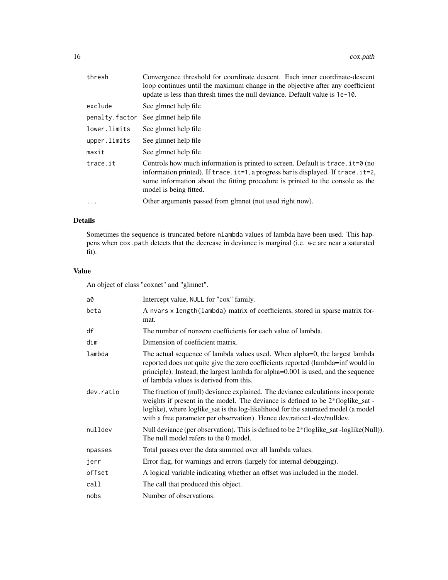| thresh         | Convergence threshold for coordinate descent. Each inner coordinate-descent<br>loop continues until the maximum change in the objective after any coefficient<br>update is less than thresh times the null deviance. Default value is 1e-10.                                                   |
|----------------|------------------------------------------------------------------------------------------------------------------------------------------------------------------------------------------------------------------------------------------------------------------------------------------------|
| exclude        | See glmnet help file                                                                                                                                                                                                                                                                           |
| penalty.factor | See glmnet help file                                                                                                                                                                                                                                                                           |
| lower.limits   | See glmnet help file                                                                                                                                                                                                                                                                           |
| upper.limits   | See glmnet help file                                                                                                                                                                                                                                                                           |
| maxit          | See glmnet help file                                                                                                                                                                                                                                                                           |
| trace.it       | Controls how much information is printed to screen. Default is $trace.it=0$ (no<br>information printed). If trace $i = 1$ , a progress bar is displayed. If trace $i = 1$ , it = 2,<br>some information about the fitting procedure is printed to the console as the<br>model is being fitted. |
| $\ddots$       | Other arguments passed from glmnet (not used right now).                                                                                                                                                                                                                                       |
|                |                                                                                                                                                                                                                                                                                                |

# Details

Sometimes the sequence is truncated before nlambda values of lambda have been used. This happens when cox.path detects that the decrease in deviance is marginal (i.e. we are near a saturated fit).

# Value

An object of class "coxnet" and "glmnet".

| a0        | Intercept value, NULL for "cox" family.                                                                                                                                                                                                                                                                                               |
|-----------|---------------------------------------------------------------------------------------------------------------------------------------------------------------------------------------------------------------------------------------------------------------------------------------------------------------------------------------|
| beta      | A nvars x length (lambda) matrix of coefficients, stored in sparse matrix for-<br>mat.                                                                                                                                                                                                                                                |
| df        | The number of nonzero coefficients for each value of lambda.                                                                                                                                                                                                                                                                          |
| dim       | Dimension of coefficient matrix.                                                                                                                                                                                                                                                                                                      |
| lambda    | The actual sequence of lambda values used. When alpha=0, the largest lambda<br>reported does not quite give the zero coefficients reported (lambda=inf would in<br>principle). Instead, the largest lambda for alpha=0.001 is used, and the sequence<br>of lambda values is derived from this.                                        |
| dev.ratio | The fraction of (null) deviance explained. The deviance calculations incorporate<br>weights if present in the model. The deviance is defined to be $2*(loglike_sat -$<br>loglike), where loglike_sat is the log-likelihood for the saturated model (a model<br>with a free parameter per observation). Hence dev.ratio=1-dev/nulldev. |
| nulldev   | Null deviance (per observation). This is defined to be 2*(loglike_sat -loglike(Null)).<br>The null model refers to the 0 model.                                                                                                                                                                                                       |
| npasses   | Total passes over the data summed over all lambda values.                                                                                                                                                                                                                                                                             |
| jerr      | Error flag, for warnings and errors (largely for internal debugging).                                                                                                                                                                                                                                                                 |
| offset    | A logical variable indicating whether an offset was included in the model.                                                                                                                                                                                                                                                            |
| call      | The call that produced this object.                                                                                                                                                                                                                                                                                                   |
| nobs      | Number of observations.                                                                                                                                                                                                                                                                                                               |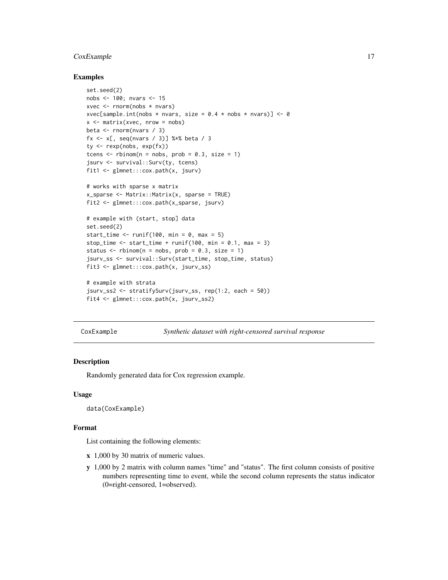# <span id="page-16-0"></span>CoxExample 17

#### Examples

```
set.seed(2)
nobs <- 100; nvars <- 15
xvec \leq rnorm(nobs \star nvars)
xvec[sample.int(nobs * nvars, size = 0.4 * nobs * nvars)] <- 0
x \le - matrix(xvec, nrow = nobs)
beta <- rnorm(nvars / 3)
fx <- x[, seq(nvars / 3)] %*% beta / 3
ty <- rexp(nobs, exp(fx))
tcens \le - rbinom(n = nobs, prob = 0.3, size = 1)
jsurv <- survival::Surv(ty, tcens)
fit1 <- glmnet:::cox.path(x, jsurv)
# works with sparse x matrix
x_sparse <- Matrix::Matrix(x, sparse = TRUE)
fit2 <- glmnet:::cox.path(x_sparse, jsurv)
# example with (start, stop] data
set.seed(2)
start_time \le runif(100, min = 0, max = 5)
stop_time <- start_time + runif(100, min = 0.1, max = 3)
status \le rbinom(n = nobs, prob = 0.3, size = 1)
jsurv_ss <- survival::Surv(start_time, stop_time, status)
fit3 <- glmnet:::cox.path(x, jsurv_ss)
# example with strata
jsurv_ss2 <- stratifySurv(jsurv_ss, rep(1:2, each = 50))
fit4 <- glmnet:::cox.path(x, jsurv_ss2)
```
CoxExample *Synthetic dataset with right-censored survival response*

# Description

Randomly generated data for Cox regression example.

#### Usage

data(CoxExample)

#### Format

List containing the following elements:

- x 1,000 by 30 matrix of numeric values.
- y 1,000 by 2 matrix with column names "time" and "status". The first column consists of positive numbers representing time to event, while the second column represents the status indicator (0=right-censored, 1=observed).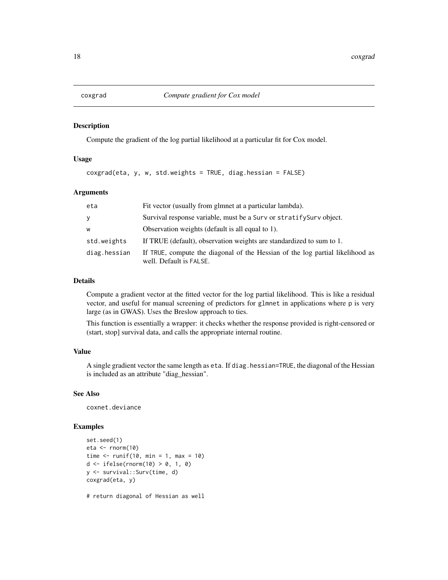#### <span id="page-17-0"></span>Description

Compute the gradient of the log partial likelihood at a particular fit for Cox model.

#### Usage

coxgrad(eta, y, w, std.weights = TRUE, diag.hessian = FALSE)

#### Arguments

| eta          | Fit vector (usually from glmnet at a particular lambda).                                                 |
|--------------|----------------------------------------------------------------------------------------------------------|
| y            | Survival response variable, must be a Surv or stratify Surv object.                                      |
| W            | Observation weights (default is all equal to 1).                                                         |
| std.weights  | If TRUE (default), observation weights are standardized to sum to 1.                                     |
| diag.hessian | If TRUE, compute the diagonal of the Hessian of the log partial likelihood as<br>well. Default is FALSE. |

#### Details

Compute a gradient vector at the fitted vector for the log partial likelihood. This is like a residual vector, and useful for manual screening of predictors for glmnet in applications where p is very large (as in GWAS). Uses the Breslow approach to ties.

This function is essentially a wrapper: it checks whether the response provided is right-censored or (start, stop] survival data, and calls the appropriate internal routine.

#### Value

A single gradient vector the same length as eta. If diag.hessian=TRUE, the diagonal of the Hessian is included as an attribute "diag\_hessian".

#### See Also

coxnet.deviance

#### Examples

```
set.seed(1)
eta <- rnorm(10)
time \le runif(10, min = 1, max = 10)
d \leftarrow ifelse(rnorm(10) > 0, 1, 0)y <- survival::Surv(time, d)
coxgrad(eta, y)
```
# return diagonal of Hessian as well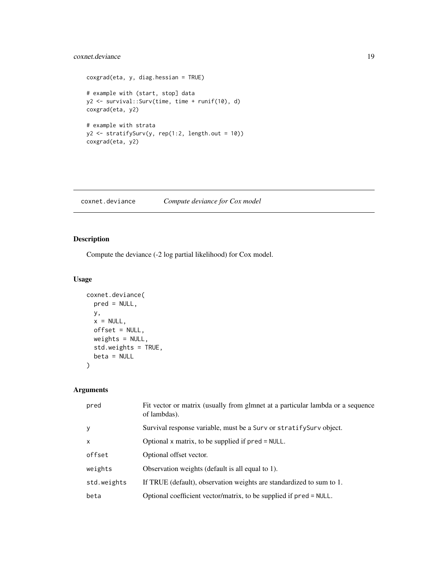# <span id="page-18-0"></span>coxnet.deviance 19

```
coxgrad(eta, y, diag.hessian = TRUE)
# example with (start, stop] data
y2 <- survival::Surv(time, time + runif(10), d)
coxgrad(eta, y2)
# example with strata
y2 <- stratifySurv(y, rep(1:2, length.out = 10))
coxgrad(eta, y2)
```
coxnet.deviance *Compute deviance for Cox model*

# Description

Compute the deviance (-2 log partial likelihood) for Cox model.

# Usage

```
coxnet.deviance(
  pred = NULL,
  y,
  x = NULL,offset = NULL,
  weights = NULL,
  std.weights = TRUE,
  beta = NULL
\mathcal{L}
```

| pred        | Fit vector or matrix (usually from glmnet at a particular lambda or a sequence<br>of lambdas). |
|-------------|------------------------------------------------------------------------------------------------|
| y           | Survival response variable, must be a Surv or stratify Surv object.                            |
| X           | Optional x matrix, to be supplied if $pred = NULL$ .                                           |
| offset      | Optional offset vector.                                                                        |
| weights     | Observation weights (default is all equal to 1).                                               |
| std.weights | If TRUE (default), observation weights are standardized to sum to 1.                           |
| beta        | Optional coefficient vector/matrix, to be supplied if pred = NULL.                             |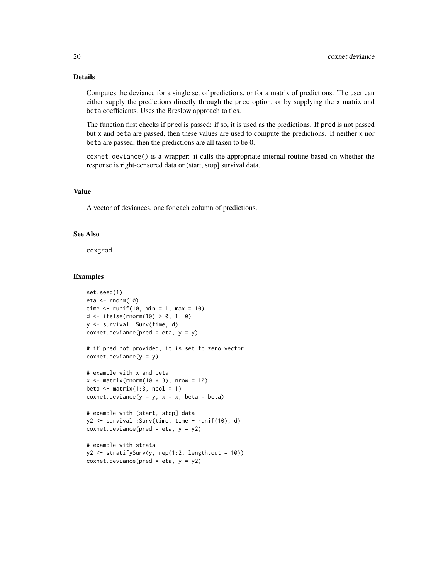# Details

Computes the deviance for a single set of predictions, or for a matrix of predictions. The user can either supply the predictions directly through the pred option, or by supplying the x matrix and beta coefficients. Uses the Breslow approach to ties.

The function first checks if pred is passed: if so, it is used as the predictions. If pred is not passed but x and beta are passed, then these values are used to compute the predictions. If neither x nor beta are passed, then the predictions are all taken to be 0.

coxnet.deviance() is a wrapper: it calls the appropriate internal routine based on whether the response is right-censored data or (start, stop] survival data.

#### Value

A vector of deviances, one for each column of predictions.

# See Also

coxgrad

#### Examples

```
set.seed(1)
eta <- rnorm(10)
time \le runif(10, min = 1, max = 10)
d <- ifelse(rnorm(10) > 0, 1, 0)
y <- survival::Surv(time, d)
covnet.deviance(pred = eta, y = y)# if pred not provided, it is set to zero vector
covnet.deviance(y = y)# example with x and beta
x \le - matrix(rnorm(10 \star 3), nrow = 10)
beta \leq matrix(1:3, ncol = 1)
coxnet.deviance(y = y, x = x, beta = beta)
# example with (start, stop] data
y2 <- survival::Surv(time, time + runif(10), d)
coxnet.deviance(pred = eta, y = y2)
# example with strata
y2 \leftarrow \text{stratifySurv}(y, \text{rep}(1:2, \text{length.out} = 10))covnet.deviance(pred = eta, y = y2)
```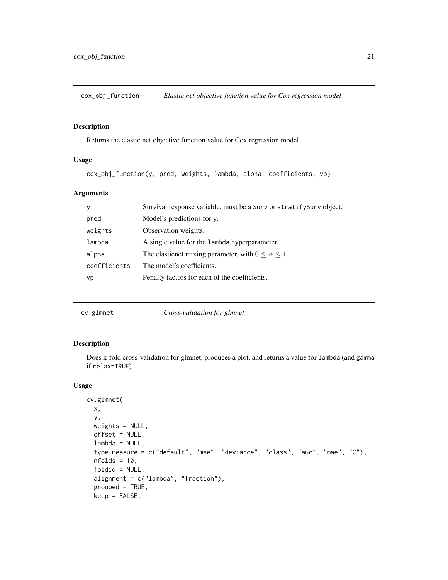<span id="page-20-0"></span>

#### Description

Returns the elastic net objective function value for Cox regression model.

### Usage

cox\_obj\_function(y, pred, weights, lambda, alpha, coefficients, vp)

# Arguments

| y            | Survival response variable, must be a Surv or stratify Surv object. |
|--------------|---------------------------------------------------------------------|
| pred         | Model's predictions for y.                                          |
| weights      | Observation weights.                                                |
| lambda       | A single value for the lambda hyperparameter.                       |
| alpha        | The elasticnet mixing parameter, with $0 \le \alpha \le 1$ .        |
| coefficients | The model's coefficients.                                           |
| vp           | Penalty factors for each of the coefficients.                       |
|              |                                                                     |

|  | cv.glmnet |  |
|--|-----------|--|

glmnet *Cross-validation for glmnet* 

# Description

Does k-fold cross-validation for glmnet, produces a plot, and returns a value for lambda (and gamma if relax=TRUE)

# Usage

```
cv.glmnet(
  x,
 y,
 weights = NULL,
 offset = NULL,
  lambda = NULL,
  type.measure = c("default", "mse", "deviance", "class", "auc", "mae", "C"),
  nfolds = 10,
  foldid = NULL,
  alignment = c("lambda", "fraction"),
  grouped = TRUE,
  keep = FALSE,
```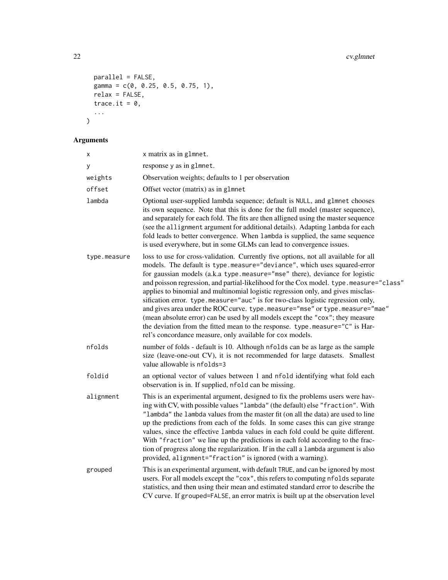```
parallel = FALSE,
 \text{gamma} = c(0, 0.25, 0.5, 0.75, 1),relax = FALSE,trace.it = 0,...
)
```

| X            | x matrix as in glmnet.                                                                                                                                                                                                                                                                                                                                                                                                                                                                                                                                                                                                                                                                                                                                                                                                         |
|--------------|--------------------------------------------------------------------------------------------------------------------------------------------------------------------------------------------------------------------------------------------------------------------------------------------------------------------------------------------------------------------------------------------------------------------------------------------------------------------------------------------------------------------------------------------------------------------------------------------------------------------------------------------------------------------------------------------------------------------------------------------------------------------------------------------------------------------------------|
| у            | response y as in glmnet.                                                                                                                                                                                                                                                                                                                                                                                                                                                                                                                                                                                                                                                                                                                                                                                                       |
| weights      | Observation weights; defaults to 1 per observation                                                                                                                                                                                                                                                                                                                                                                                                                                                                                                                                                                                                                                                                                                                                                                             |
| offset       | Offset vector (matrix) as in glmnet                                                                                                                                                                                                                                                                                                                                                                                                                                                                                                                                                                                                                                                                                                                                                                                            |
| lambda       | Optional user-supplied lambda sequence; default is NULL, and glmnet chooses<br>its own sequence. Note that this is done for the full model (master sequence),<br>and separately for each fold. The fits are then alligned using the master sequence<br>(see the allignment argument for additional details). Adapting lambda for each<br>fold leads to better convergence. When lambda is supplied, the same sequence<br>is used everywhere, but in some GLMs can lead to convergence issues.                                                                                                                                                                                                                                                                                                                                  |
| type.measure | loss to use for cross-validation. Currently five options, not all available for all<br>models. The default is type.measure="deviance", which uses squared-error<br>for gaussian models (a.k.a type.measure="mse" there), deviance for logistic<br>and poisson regression, and partial-likelihood for the Cox model. type.measure="class"<br>applies to binomial and multinomial logistic regression only, and gives misclas-<br>sification error. type.measure="auc" is for two-class logistic regression only,<br>and gives area under the ROC curve. type.measure="mse" or type.measure="mae"<br>(mean absolute error) can be used by all models except the "cox"; they measure<br>the deviation from the fitted mean to the response. type.measure="C" is Har-<br>rel's concordance measure, only available for cox models. |
| nfolds       | number of folds - default is 10. Although nfolds can be as large as the sample<br>size (leave-one-out CV), it is not recommended for large datasets. Smallest<br>value allowable is nfolds=3                                                                                                                                                                                                                                                                                                                                                                                                                                                                                                                                                                                                                                   |
| foldid       | an optional vector of values between 1 and nfold identifying what fold each<br>observation is in. If supplied, nfold can be missing.                                                                                                                                                                                                                                                                                                                                                                                                                                                                                                                                                                                                                                                                                           |
| alignment    | This is an experimental argument, designed to fix the problems users were hav-<br>ing with CV, with possible values "lambda" (the default) else "fraction". With<br>"lambda" the lambda values from the master fit (on all the data) are used to line<br>up the predictions from each of the folds. In some cases this can give strange<br>values, since the effective lambda values in each fold could be quite different.<br>With "fraction" we line up the predictions in each fold according to the frac-<br>tion of progress along the regularization. If in the call a lambda argument is also<br>provided, alignment="fraction" is ignored (with a warning).                                                                                                                                                            |
| grouped      | This is an experimental argument, with default TRUE, and can be ignored by most<br>users. For all models except the "cox", this refers to computing nfolds separate<br>statistics, and then using their mean and estimated standard error to describe the<br>CV curve. If grouped=FALSE, an error matrix is built up at the observation level                                                                                                                                                                                                                                                                                                                                                                                                                                                                                  |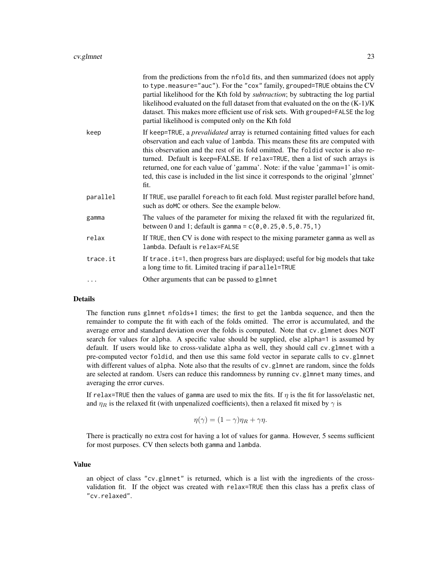|          | from the predictions from the nfold fits, and then summarized (does not apply<br>to type.measure="auc"). For the "cox" family, grouped=TRUE obtains the CV<br>partial likelihood for the Kth fold by subtraction; by subtracting the log partial<br>likelihood evaluated on the full dataset from that evaluated on the on the $(K-1)/K$<br>dataset. This makes more efficient use of risk sets. With grouped=FALSE the log<br>partial likelihood is computed only on the Kth fold                                             |
|----------|--------------------------------------------------------------------------------------------------------------------------------------------------------------------------------------------------------------------------------------------------------------------------------------------------------------------------------------------------------------------------------------------------------------------------------------------------------------------------------------------------------------------------------|
| keep     | If keep=TRUE, a <i>prevalidated</i> array is returned containing fitted values for each<br>observation and each value of 1 ambda. This means these fits are computed with<br>this observation and the rest of its fold omitted. The foldid vector is also re-<br>turned. Default is keep=FALSE. If relax=TRUE, then a list of such arrays is<br>returned, one for each value of 'gamma'. Note: if the value 'gamma=1' is omit-<br>ted, this case is included in the list since it corresponds to the original 'glmnet'<br>fit. |
| parallel | If TRUE, use parallel for each to fit each fold. Must register parallel before hand,<br>such as doMC or others. See the example below.                                                                                                                                                                                                                                                                                                                                                                                         |
| gamma    | The values of the parameter for mixing the relaxed fit with the regularized fit,<br>between 0 and 1; default is gamma = $c(0, 0.25, 0.5, 0.75, 1)$                                                                                                                                                                                                                                                                                                                                                                             |
| relax    | If TRUE, then CV is done with respect to the mixing parameter gamma as well as<br>lambda. Default is relax=FALSE                                                                                                                                                                                                                                                                                                                                                                                                               |
| trace.it | If trace. it=1, then progress bars are displayed; useful for big models that take<br>a long time to fit. Limited tracing if parallel=TRUE                                                                                                                                                                                                                                                                                                                                                                                      |
|          | Other arguments that can be passed to glmnet                                                                                                                                                                                                                                                                                                                                                                                                                                                                                   |
|          |                                                                                                                                                                                                                                                                                                                                                                                                                                                                                                                                |

# Details

The function runs glmnet nfolds+1 times; the first to get the lambda sequence, and then the remainder to compute the fit with each of the folds omitted. The error is accumulated, and the average error and standard deviation over the folds is computed. Note that cv.glmnet does NOT search for values for alpha. A specific value should be supplied, else alpha=1 is assumed by default. If users would like to cross-validate alpha as well, they should call cv.glmnet with a pre-computed vector foldid, and then use this same fold vector in separate calls to cv.glmnet with different values of alpha. Note also that the results of cv. glmnet are random, since the folds are selected at random. Users can reduce this randomness by running cv.glmnet many times, and averaging the error curves.

If relax=TRUE then the values of gamma are used to mix the fits. If  $\eta$  is the fit for lasso/elastic net, and  $\eta_R$  is the relaxed fit (with unpenalized coefficients), then a relaxed fit mixed by  $\gamma$  is

$$
\eta(\gamma) = (1 - \gamma)\eta_R + \gamma\eta.
$$

There is practically no extra cost for having a lot of values for gamma. However, 5 seems sufficient for most purposes. CV then selects both gamma and lambda.

## Value

an object of class "cv.glmnet" is returned, which is a list with the ingredients of the crossvalidation fit. If the object was created with relax=TRUE then this class has a prefix class of "cv.relaxed".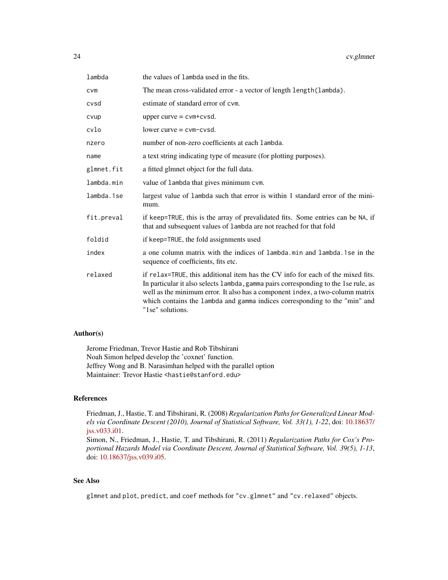| lambda     | the values of lambda used in the fits.                                                                                                                                                                                                                                                                                                                    |
|------------|-----------------------------------------------------------------------------------------------------------------------------------------------------------------------------------------------------------------------------------------------------------------------------------------------------------------------------------------------------------|
| <b>CVM</b> | The mean cross-validated error - a vector of length length (lambda).                                                                                                                                                                                                                                                                                      |
| cvsd       | estimate of standard error of cym.                                                                                                                                                                                                                                                                                                                        |
| cvup       | upper curve $=$ cvm+cvsd.                                                                                                                                                                                                                                                                                                                                 |
| cvlo       | $lower curve = cvm-cvsd.$                                                                                                                                                                                                                                                                                                                                 |
| nzero      | number of non-zero coefficients at each lambda.                                                                                                                                                                                                                                                                                                           |
| name       | a text string indicating type of measure (for plotting purposes).                                                                                                                                                                                                                                                                                         |
| glmnet.fit | a fitted glmnet object for the full data.                                                                                                                                                                                                                                                                                                                 |
| lambda.min | value of lambda that gives minimum cvm.                                                                                                                                                                                                                                                                                                                   |
| lambda.1se | largest value of lambda such that error is within 1 standard error of the mini-<br>mum.                                                                                                                                                                                                                                                                   |
| fit.preval | if keep=TRUE, this is the array of prevalidated fits. Some entries can be NA, if<br>that and subsequent values of lambda are not reached for that fold                                                                                                                                                                                                    |
| foldid     | if keep=TRUE, the fold assignments used                                                                                                                                                                                                                                                                                                                   |
| index      | a one column matrix with the indices of lambda.min and lambda.1se in the<br>sequence of coefficients, fits etc.                                                                                                                                                                                                                                           |
| relaxed    | if relax=TRUE, this additional item has the CV info for each of the mixed fits.<br>In particular it also selects lambda, gamma pairs corresponding to the 1se rule, as<br>well as the minimum error. It also has a component index, a two-column matrix<br>which contains the lambda and gamma indices corresponding to the "min" and<br>"1se" solutions. |

#### Author(s)

Jerome Friedman, Trevor Hastie and Rob Tibshirani Noah Simon helped develop the 'coxnet' function. Jeffrey Wong and B. Narasimhan helped with the parallel option Maintainer: Trevor Hastie <hastie@stanford.edu>

# References

Friedman, J., Hastie, T. and Tibshirani, R. (2008) *Regularization Paths for Generalized Linear Models via Coordinate Descent (2010), Journal of Statistical Software, Vol. 33(1), 1-22*, doi: [10.18637/](https://doi.org/10.18637/jss.v033.i01) [jss.v033.i01.](https://doi.org/10.18637/jss.v033.i01)

Simon, N., Friedman, J., Hastie, T. and Tibshirani, R. (2011) *Regularization Paths for Cox's Proportional Hazards Model via Coordinate Descent, Journal of Statistical Software, Vol. 39(5), 1-13*, doi: [10.18637/jss.v039.i05.](https://doi.org/10.18637/jss.v039.i05)

#### See Also

glmnet and plot, predict, and coef methods for "cv.glmnet" and "cv.relaxed" objects.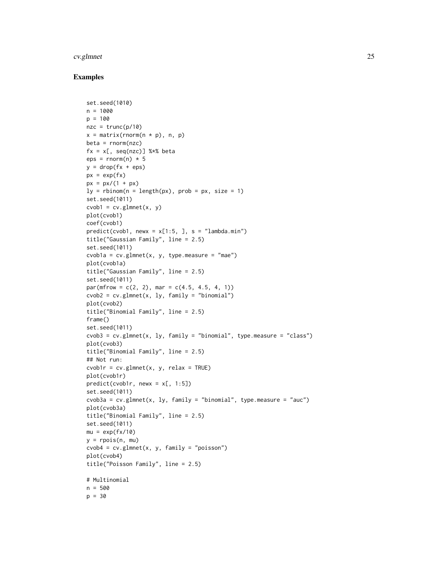#### cv.glmnet 25

## Examples

```
set.seed(1010)
n = 1000
p = 100nze = trunc(p/10)x = matrix(rnorm(n * p), n, p)beta = rnorm(nzc)fx = x[, seq(nzc)] %*% beta
eps = rnorm(n) * 5y = drop(fx +eps)px = exp(fx)px = px/(1 + px)ly = rbinom(n = length(px), prob = px, size = 1)set.seed(1011)
cvob1 = cv.glmnet(x, y)plot(cvob1)
coef(cvob1)
predict(cvob1, newx = x[1:5, ], s = "lambda.min")title("Gaussian Family", line = 2.5)
set.seed(1011)
cvob1a = cv.glmnet(x, y, type.measure = "mae")
plot(cvob1a)
title("Gaussian Family", line = 2.5)
set.seed(1011)
par(mfrow = c(2, 2), mar = c(4.5, 4.5, 4, 1))c v \cdot z = cv \cdot g \cdot (x, \, l \cdot y, \, \text{family} = \text{"binomial"}plot(cvob2)
title("Binomial Family", line = 2.5)
frame()
set.seed(1011)
cvob3 = cv.glmnet(x, ly, family = "binomial", type.measure = "class")
plot(cvob3)
title("Binomial Family", line = 2.5)
## Not run:
cvob1r = cv.glmnet(x, y, relax = TRUE)
plot(cvob1r)
predict(cvob1r, newx = x[, 1:5])set.seed(1011)
cvob3a = cv.glmnet(x, 1y, family = "binomial", type. measure = "auc")plot(cvob3a)
title("Binomial Family", line = 2.5)
set.seed(1011)
mu = exp(fx/10)y = \text{rpois}(n, mu)c v \cdot d = cv \cdot g \cdot d(x, y, f \cdot d(y) = "poisson")plot(cvob4)
title("Poisson Family", line = 2.5)
# Multinomial
n = 500
p = 30
```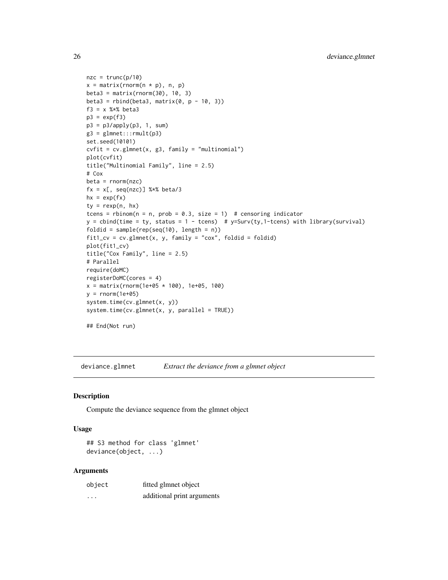```
nze = trunc(p/10)x = matrix(rnorm(n * p), n, p)beta3 = matrix(rnorm(30), 10, 3)beta3 = rbind(beta3, matrix(\theta, p - 1\theta, 3))
f3 = x %*% beta3
p3 = exp(f3)p3 = p3/apply(p3, 1, sum)g3 = glmnet::rmult(p3)set.seed(10101)
cvfit = cv.glmnet(x, g3, family = "multinomial")plot(cvfit)
title("Multinomial Family", line = 2.5)
# Cox
beta = rnorm(nzc)fx = x[, seq(nzc)] %*% beta/3
hx = exp(fx)ty = rexp(n, hx)
tcens = rbinom(n = n, prob = 0.3, size = 1) # censoring indicator
y = \text{cbind}(\text{time} = \text{ty}, \text{ status} = 1 - \text{teens}) # y = \text{Surv}(\text{ty}, 1 - \text{teens}) with library(survival)
foldid = sample(rep(seq(10), length = n))fit1_cv = cv.glmnet(x, y, family = "cox", foldid = foldid)
plot(fit1_cv)
title("Cox Family", line = 2.5)
# Parallel
require(doMC)
registerDoMC(cores = 4)
x = matrix(rnorm(1e+05 * 100), 1e+05, 100)y = \text{rnorm}(1e+05)system.time(cv.glmnet(x, y))
system.time(cv.glmnet(x, y, parallel = TRUE))
## End(Not run)
```
deviance.glmnet *Extract the deviance from a glmnet object*

#### Description

Compute the deviance sequence from the glmnet object

#### Usage

## S3 method for class 'glmnet' deviance(object, ...)

| object  | fitted glmnet object       |
|---------|----------------------------|
| $\cdot$ | additional print arguments |

<span id="page-25-0"></span>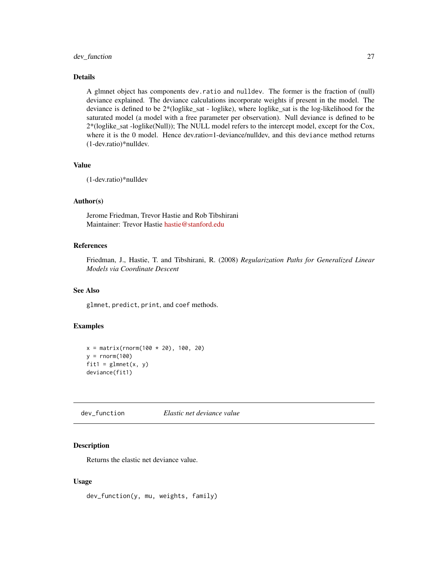# <span id="page-26-0"></span>dev\_function 27

# Details

A glmnet object has components dev.ratio and nulldev. The former is the fraction of (null) deviance explained. The deviance calculations incorporate weights if present in the model. The deviance is defined to be 2\*(loglike\_sat - loglike), where loglike\_sat is the log-likelihood for the saturated model (a model with a free parameter per observation). Null deviance is defined to be 2\*(loglike\_sat -loglike(Null)); The NULL model refers to the intercept model, except for the Cox, where it is the 0 model. Hence dev.ratio=1-deviance/nulldev, and this deviance method returns (1-dev.ratio)\*nulldev.

# Value

(1-dev.ratio)\*nulldev

# Author(s)

Jerome Friedman, Trevor Hastie and Rob Tibshirani Maintainer: Trevor Hastie [hastie@stanford.edu](mailto:hastie@stanford.edu)

# References

Friedman, J., Hastie, T. and Tibshirani, R. (2008) *Regularization Paths for Generalized Linear Models via Coordinate Descent*

# See Also

glmnet, predict, print, and coef methods.

#### Examples

```
x = matrix(rnorm(100 * 20), 100, 20)y = rnorm(100)fit1 = glmnet(x, y)deviance(fit1)
```
dev\_function *Elastic net deviance value*

#### Description

Returns the elastic net deviance value.

## Usage

dev\_function(y, mu, weights, family)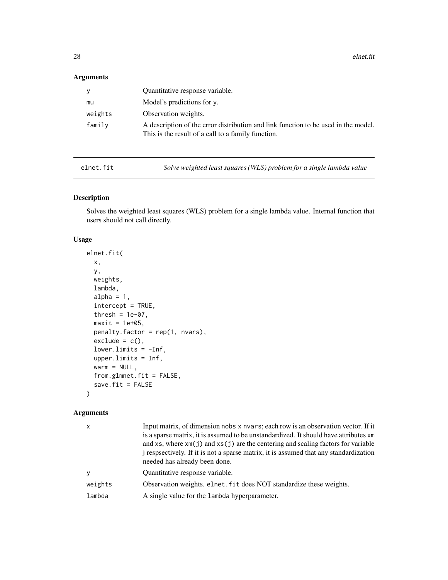<span id="page-27-0"></span> $28$  elnet.fit

# Arguments

| y       | Quantitative response variable.                                                                                                          |
|---------|------------------------------------------------------------------------------------------------------------------------------------------|
| mu      | Model's predictions for y.                                                                                                               |
| weights | Observation weights.                                                                                                                     |
| family  | A description of the error distribution and link function to be used in the model.<br>This is the result of a call to a family function. |

elnet.fit *Solve weighted least squares (WLS) problem for a single lambda value*

# Description

Solves the weighted least squares (WLS) problem for a single lambda value. Internal function that users should not call directly.

# Usage

```
elnet.fit(
  x,
 y,
 weights,
  lambda,
  alpha = 1,
  intercept = TRUE,
  thresh = 1e-07,
 maxit = 1e+05,
  penalty.factor = rep(1, nvars),
  exclude = c(),
  lower.linalg = -Inf,upper.limits = Inf,
  warm = NULL,
  from.glmnet.fit = FALSE,
  save.fit = FALSE
\mathcal{E}
```

| $\mathsf{x}$ | Input matrix, of dimension nobs x nvars; each row is an observation vector. If it<br>is a sparse matrix, it is assumed to be unstandardized. It should have attributes xm<br>and xs, where $xm(j)$ and $xs(j)$ are the centering and scaling factors for variable<br>i respectively. If it is not a sparse matrix, it is assumed that any standardization<br>needed has already been done. |
|--------------|--------------------------------------------------------------------------------------------------------------------------------------------------------------------------------------------------------------------------------------------------------------------------------------------------------------------------------------------------------------------------------------------|
| <b>y</b>     | Quantitative response variable.                                                                                                                                                                                                                                                                                                                                                            |
| weights      | Observation weights. elnet. fit does NOT standardize these weights.                                                                                                                                                                                                                                                                                                                        |
| lambda       | A single value for the lambda hyperparameter.                                                                                                                                                                                                                                                                                                                                              |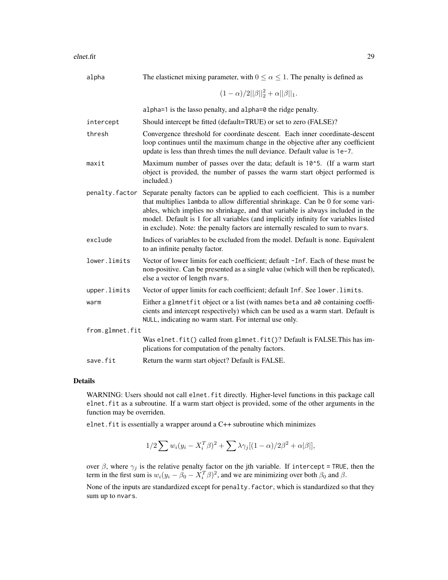| alpha           | The elasticnet mixing parameter, with $0 \le \alpha \le 1$ . The penalty is defined as                                                                                                                                                                                                                                                                                                                                       |
|-----------------|------------------------------------------------------------------------------------------------------------------------------------------------------------------------------------------------------------------------------------------------------------------------------------------------------------------------------------------------------------------------------------------------------------------------------|
|                 | $(1-\alpha)/2  \beta  _2^2+\alpha  \beta  _1.$                                                                                                                                                                                                                                                                                                                                                                               |
|                 | alpha=1 is the lasso penalty, and alpha=0 the ridge penalty.                                                                                                                                                                                                                                                                                                                                                                 |
| intercept       | Should intercept be fitted (default=TRUE) or set to zero (FALSE)?                                                                                                                                                                                                                                                                                                                                                            |
| thresh          | Convergence threshold for coordinate descent. Each inner coordinate-descent<br>loop continues until the maximum change in the objective after any coefficient<br>update is less than thresh times the null deviance. Default value is 1e-7.                                                                                                                                                                                  |
| maxit           | Maximum number of passes over the data; default is 10 <sup>1</sup> 5. (If a warm start<br>object is provided, the number of passes the warm start object performed is<br>included.)                                                                                                                                                                                                                                          |
| penalty.factor  | Separate penalty factors can be applied to each coefficient. This is a number<br>that multiplies lambda to allow differential shrinkage. Can be 0 for some vari-<br>ables, which implies no shrinkage, and that variable is always included in the<br>model. Default is 1 for all variables (and implicitly infinity for variables listed<br>in exclude). Note: the penalty factors are internally rescaled to sum to nvars. |
| exclude         | Indices of variables to be excluded from the model. Default is none. Equivalent<br>to an infinite penalty factor.                                                                                                                                                                                                                                                                                                            |
| lower.limits    | Vector of lower limits for each coefficient; default -Inf. Each of these must be<br>non-positive. Can be presented as a single value (which will then be replicated),<br>else a vector of length nvars.                                                                                                                                                                                                                      |
| upper.limits    | Vector of upper limits for each coefficient; default Inf. See lower. limits.                                                                                                                                                                                                                                                                                                                                                 |
| warm            | Either a glmnetfit object or a list (with names beta and a0 containing coeffi-<br>cients and intercept respectively) which can be used as a warm start. Default is<br>NULL, indicating no warm start. For internal use only.                                                                                                                                                                                                 |
| from.glmnet.fit |                                                                                                                                                                                                                                                                                                                                                                                                                              |
|                 | Was elnet.fit() called from glmnet.fit()? Default is FALSE.This has im-<br>plications for computation of the penalty factors.                                                                                                                                                                                                                                                                                                |
| save.fit        | Return the warm start object? Default is FALSE.                                                                                                                                                                                                                                                                                                                                                                              |

#### Details

WARNING: Users should not call elnet.fit directly. Higher-level functions in this package call elnet.fit as a subroutine. If a warm start object is provided, some of the other arguments in the function may be overriden.

elnet.fit is essentially a wrapper around a C++ subroutine which minimizes

$$
1/2\sum w_i(y_i - X_i^T\beta)^2 + \sum \lambda \gamma_j [(1-\alpha)/2\beta^2 + \alpha|\beta|],
$$

over  $\beta$ , where  $\gamma_j$  is the relative penalty factor on the jth variable. If intercept = TRUE, then the term in the first sum is  $w_i(y_i - \beta_0 - X_i^T \beta)^2$ , and we are minimizing over both  $\beta_0$  and  $\beta$ .

None of the inputs are standardized except for penalty. factor, which is standardized so that they sum up to nvars.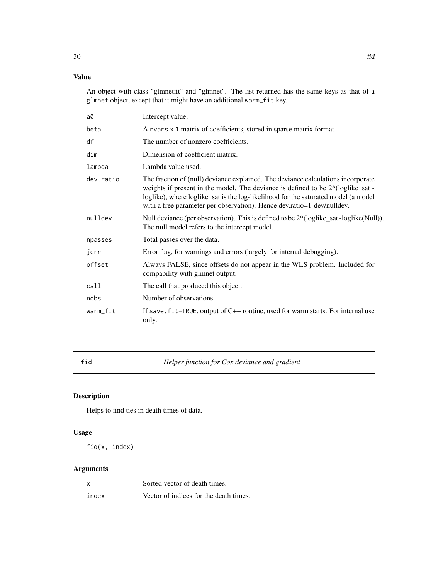# <span id="page-29-0"></span>Value

An object with class "glmnetfit" and "glmnet". The list returned has the same keys as that of a glmnet object, except that it might have an additional warm\_fit key.

| a0        | Intercept value.                                                                                                                                                                                                                                                                                                                    |
|-----------|-------------------------------------------------------------------------------------------------------------------------------------------------------------------------------------------------------------------------------------------------------------------------------------------------------------------------------------|
| beta      | A nyars x 1 matrix of coefficients, stored in sparse matrix format.                                                                                                                                                                                                                                                                 |
| df        | The number of nonzero coefficients.                                                                                                                                                                                                                                                                                                 |
| dim       | Dimension of coefficient matrix.                                                                                                                                                                                                                                                                                                    |
| lambda    | Lambda value used.                                                                                                                                                                                                                                                                                                                  |
| dev.ratio | The fraction of (null) deviance explained. The deviance calculations incorporate<br>weights if present in the model. The deviance is defined to be 2*(loglike_sat -<br>loglike), where loglike_sat is the log-likelihood for the saturated model (a model<br>with a free parameter per observation). Hence dev.ratio=1-dev/nulldev. |
| nulldev   | Null deviance (per observation). This is defined to be $2*(loglike\_sat - loglike(Null))$ .<br>The null model refers to the intercept model.                                                                                                                                                                                        |
| npasses   | Total passes over the data.                                                                                                                                                                                                                                                                                                         |
| jerr      | Error flag, for warnings and errors (largely for internal debugging).                                                                                                                                                                                                                                                               |
| offset    | Always FALSE, since offsets do not appear in the WLS problem. Included for<br>compability with glmnet output.                                                                                                                                                                                                                       |
| call      | The call that produced this object.                                                                                                                                                                                                                                                                                                 |
| nobs      | Number of observations.                                                                                                                                                                                                                                                                                                             |
| warm_fit  | If save. $fit = TRUE$ , output of $C++$ routine, used for warm starts. For internal use<br>only.                                                                                                                                                                                                                                    |

fid *Helper function for Cox deviance and gradient*

# Description

Helps to find ties in death times of data.

# Usage

fid(x, index)

| $\boldsymbol{\mathsf{x}}$ | Sorted vector of death times.          |
|---------------------------|----------------------------------------|
| index                     | Vector of indices for the death times. |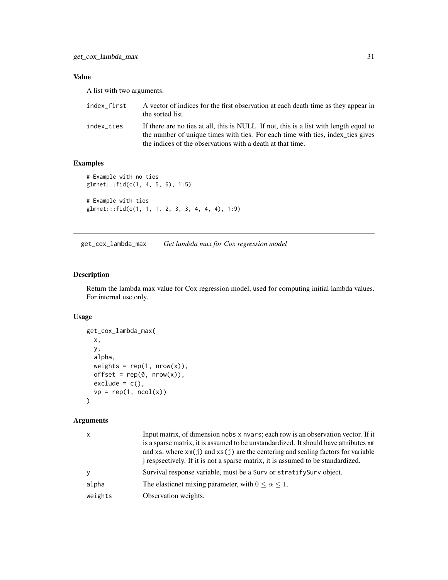# <span id="page-30-0"></span>Value

A list with two arguments.

| index_first | A vector of indices for the first observation at each death time as they appear in<br>the sorted list.                                                                                                                                  |
|-------------|-----------------------------------------------------------------------------------------------------------------------------------------------------------------------------------------------------------------------------------------|
| index ties  | If there are no ties at all, this is NULL. If not, this is a list with length equal to<br>the number of unique times with ties. For each time with ties, index_ties gives<br>the indices of the observations with a death at that time. |

# Examples

```
# Example with no ties
glmnet:::fid(c(1, 4, 5, 6), 1:5)
# Example with ties
glmnet:::fid(c(1, 1, 1, 2, 3, 3, 4, 4, 4), 1:9)
```
get\_cox\_lambda\_max *Get lambda max for Cox regression model*

#### Description

Return the lambda max value for Cox regression model, used for computing initial lambda values. For internal use only.

# Usage

```
get_cox_lambda_max(
 x,
 y,
 alpha,
 weights = rep(1, nrow(x)),offset = rep(0, nrow(x)),exclude = c(),
 vp = rep(1, ncol(x)))
```

| is a sparse matrix, it is assumed to be unstandardized. It should have attributes xm |
|--------------------------------------------------------------------------------------|
| and xs, where $xm(j)$ and $xs(j)$ are the centering and scaling factors for variable |
| i respectively. If it is not a sparse matrix, it is assumed to be standardized.      |
| Survival response variable, must be a Surv or stratify Surv object.                  |
|                                                                                      |
|                                                                                      |
|                                                                                      |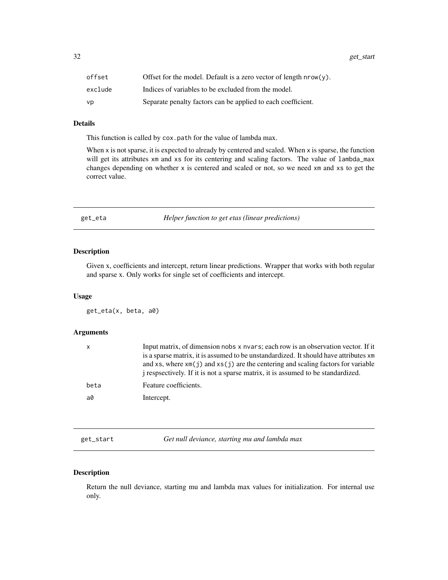<span id="page-31-0"></span>32 get\_start and  $\frac{1}{2}$  get\_start and  $\frac{1}{2}$  get\_start and  $\frac{1}{2}$  get\_start and  $\frac{1}{2}$  get\_start and  $\frac{1}{2}$  get\_start and  $\frac{1}{2}$  get\_start and  $\frac{1}{2}$  get\_start and  $\frac{1}{2}$  get\_start and  $\frac{1}{2}$  get

| offset  | Offset for the model. Default is a zero vector of length $nrow(y)$ . |
|---------|----------------------------------------------------------------------|
| exclude | Indices of variables to be excluded from the model.                  |
| vp      | Separate penalty factors can be applied to each coefficient.         |

# Details

This function is called by cox.path for the value of lambda max.

When x is not sparse, it is expected to already by centered and scaled. When x is sparse, the function will get its attributes xm and xs for its centering and scaling factors. The value of lambda\_max changes depending on whether x is centered and scaled or not, so we need xm and xs to get the correct value.

get\_eta *Helper function to get etas (linear predictions)*

## Description

Given x, coefficients and intercept, return linear predictions. Wrapper that works with both regular and sparse x. Only works for single set of coefficients and intercept.

#### Usage

get\_eta(x, beta, a0)

#### Arguments

| $\mathsf{x}$ | Input matrix, of dimension nobs x nyars; each row is an observation vector. If it<br>is a sparse matrix, it is assumed to be unstandardized. It should have attributes xm<br>and xs, where $x \in (i)$ and $x \in (i)$ are the centering and scaling factors for variable<br>i respectively. If it is not a sparse matrix, it is assumed to be standardized. |
|--------------|--------------------------------------------------------------------------------------------------------------------------------------------------------------------------------------------------------------------------------------------------------------------------------------------------------------------------------------------------------------|
| beta         | Feature coefficients.                                                                                                                                                                                                                                                                                                                                        |
| a0           | Intercept.                                                                                                                                                                                                                                                                                                                                                   |

get\_start *Get null deviance, starting mu and lambda max*

# Description

Return the null deviance, starting mu and lambda max values for initialization. For internal use only.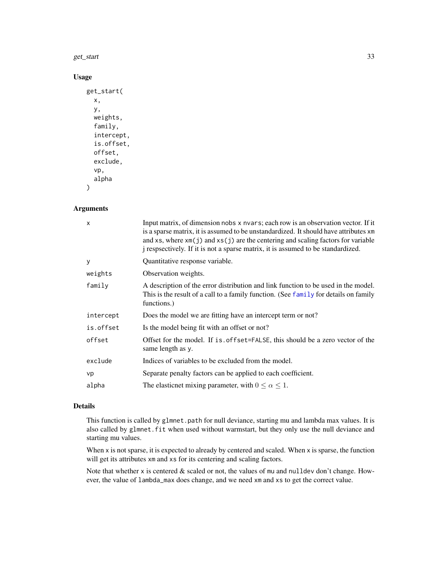#### get\_start 33

# Usage

```
get_start(
  x,
 y,
  weights,
  family,
  intercept,
  is.offset,
  offset,
  exclude,
  vp,
  alpha
)
```
#### Arguments

| $\times$  | Input matrix, of dimension nobs x nvars; each row is an observation vector. If it<br>is a sparse matrix, it is assumed to be unstandardized. It should have attributes xm<br>and xs, where $xm(j)$ and $xs(j)$ are the centering and scaling factors for variable<br><i>j</i> respectively. If it is not a sparse matrix, it is assumed to be standardized. |
|-----------|-------------------------------------------------------------------------------------------------------------------------------------------------------------------------------------------------------------------------------------------------------------------------------------------------------------------------------------------------------------|
| y         | Quantitative response variable.                                                                                                                                                                                                                                                                                                                             |
| weights   | Observation weights.                                                                                                                                                                                                                                                                                                                                        |
| family    | A description of the error distribution and link function to be used in the model.<br>This is the result of a call to a family function. (See family for details on family<br>functions.)                                                                                                                                                                   |
| intercept | Does the model we are fitting have an intercept term or not?                                                                                                                                                                                                                                                                                                |
| is.offset | Is the model being fit with an offset or not?                                                                                                                                                                                                                                                                                                               |
| offset    | Offset for the model. If is offset=FALSE, this should be a zero vector of the<br>same length as y.                                                                                                                                                                                                                                                          |
| exclude   | Indices of variables to be excluded from the model.                                                                                                                                                                                                                                                                                                         |
| vp        | Separate penalty factors can be applied to each coefficient.                                                                                                                                                                                                                                                                                                |
| alpha     | The elasticnet mixing parameter, with $0 \le \alpha \le 1$ .                                                                                                                                                                                                                                                                                                |

# Details

This function is called by glmnet.path for null deviance, starting mu and lambda max values. It is also called by glmnet. fit when used without warmstart, but they only use the null deviance and starting mu values.

When x is not sparse, it is expected to already by centered and scaled. When x is sparse, the function will get its attributes xm and xs for its centering and scaling factors.

Note that whether x is centered  $&$  scaled or not, the values of mu and nulldev don't change. However, the value of lambda\_max does change, and we need xm and xs to get the correct value.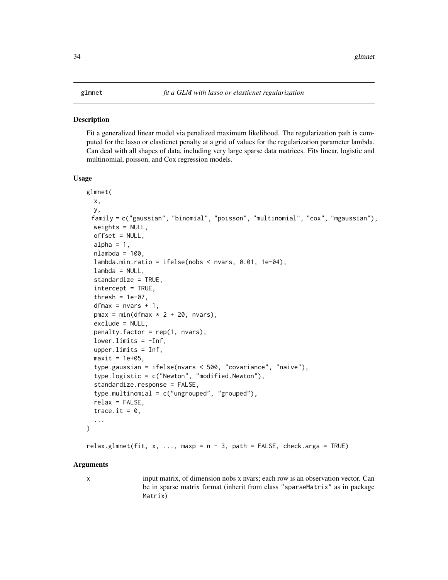#### <span id="page-33-0"></span>**Description**

Fit a generalized linear model via penalized maximum likelihood. The regularization path is computed for the lasso or elasticnet penalty at a grid of values for the regularization parameter lambda. Can deal with all shapes of data, including very large sparse data matrices. Fits linear, logistic and multinomial, poisson, and Cox regression models.

#### Usage

```
glmnet(
 x,
 y,
 family = c("gaussian", "binomial", "poisson", "multinomial", "cox", "mgaussian"),
 weights = NULL,offset = NULL,alpha = 1,
  nlambda = 100,
  lambda.min.ratio = ifelse(nobs < nvars, 0.01, 1e-04),lambda = NULL,
  standardize = TRUE,
  intercept = TRUE,
  thresh = 1e-07,
  dfmax = nvars + 1,
  pmax = min(dfmax * 2 + 20, nvars),exclude = NULL,
  penalty.factor = rep(1, nvars),lower-limits = -Inf,upper.limits = Inf,
  maxit = 1e+05,
  type.gaussian = ifelse(nvars < 500, "covariance", "naive"),
  type.logistic = c("Newton", "modified.Newton"),
  standardize.response = FALSE,
  type.multinomial = c("ungrouped", "grouped"),
  relax = FALSE,
  trace.it = 0,
  ...
)
```
relax.glmnet(fit,  $x$ , ..., maxp = n - 3, path = FALSE, check.args = TRUE)

#### Arguments

x input matrix, of dimension nobs x nvars; each row is an observation vector. Can be in sparse matrix format (inherit from class "sparseMatrix" as in package Matrix)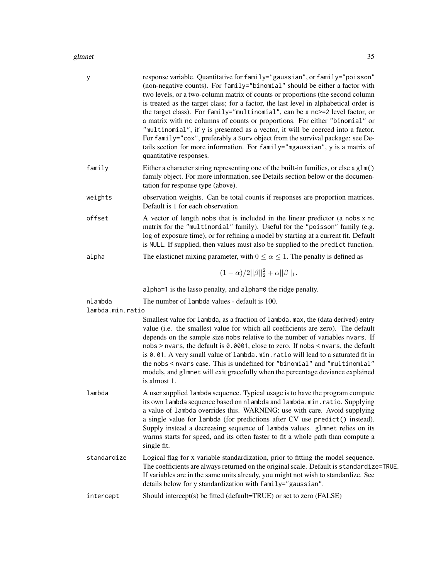#### glmnet 35

| у                | response variable. Quantitative for family="gaussian", or family="poisson"<br>(non-negative counts). For family="binomial" should be either a factor with<br>two levels, or a two-column matrix of counts or proportions (the second column<br>is treated as the target class; for a factor, the last level in alphabetical order is<br>the target class). For family="multinomial", can be a nc>=2 level factor, or<br>a matrix with nc columns of counts or proportions. For either "binomial" or<br>"multinomial", if y is presented as a vector, it will be coerced into a factor.<br>For family="cox", preferably a Surv object from the survival package: see De-<br>tails section for more information. For family="mgaussian", y is a matrix of<br>quantitative responses. |
|------------------|------------------------------------------------------------------------------------------------------------------------------------------------------------------------------------------------------------------------------------------------------------------------------------------------------------------------------------------------------------------------------------------------------------------------------------------------------------------------------------------------------------------------------------------------------------------------------------------------------------------------------------------------------------------------------------------------------------------------------------------------------------------------------------|
| family           | Either a character string representing one of the built-in families, or else a glm()<br>family object. For more information, see Details section below or the documen-<br>tation for response type (above).                                                                                                                                                                                                                                                                                                                                                                                                                                                                                                                                                                        |
| weights          | observation weights. Can be total counts if responses are proportion matrices.<br>Default is 1 for each observation                                                                                                                                                                                                                                                                                                                                                                                                                                                                                                                                                                                                                                                                |
| offset           | A vector of length nobs that is included in the linear predictor (a nobs x nc<br>matrix for the "multinomial" family). Useful for the "poisson" family (e.g.<br>log of exposure time), or for refining a model by starting at a current fit. Default<br>is NULL. If supplied, then values must also be supplied to the predict function.                                                                                                                                                                                                                                                                                                                                                                                                                                           |
| alpha            | The elasticnet mixing parameter, with $0 \le \alpha \le 1$ . The penalty is defined as                                                                                                                                                                                                                                                                                                                                                                                                                                                                                                                                                                                                                                                                                             |
|                  | $(1-\alpha)/2  \beta  _2^2+\alpha  \beta  _1.$                                                                                                                                                                                                                                                                                                                                                                                                                                                                                                                                                                                                                                                                                                                                     |
|                  | alpha=1 is the lasso penalty, and alpha=0 the ridge penalty.                                                                                                                                                                                                                                                                                                                                                                                                                                                                                                                                                                                                                                                                                                                       |
| nlambda          | The number of lambda values - default is 100.                                                                                                                                                                                                                                                                                                                                                                                                                                                                                                                                                                                                                                                                                                                                      |
| lambda.min.ratio | Smallest value for lambda, as a fraction of lambda.max, the (data derived) entry<br>value (i.e. the smallest value for which all coefficients are zero). The default<br>depends on the sample size nobs relative to the number of variables nvars. If<br>nobs > nvars, the default is 0.0001, close to zero. If nobs < nvars, the default<br>is 0.01. A very small value of lambda.min.ratio will lead to a saturated fit in<br>the nobs < nvars case. This is undefined for "binomial" and "multinomial"<br>models, and glmnet will exit gracefully when the percentage deviance explained<br>is almost 1.                                                                                                                                                                        |
| lambda           | A user supplied lambda sequence. Typical usage is to have the program compute<br>its own lambda sequence based on nlambda and lambda.min.ratio. Supplying<br>a value of lambda overrides this. WARNING: use with care. Avoid supplying<br>a single value for lambda (for predictions after CV use predict() instead).<br>Supply instead a decreasing sequence of lambda values. glmnet relies on its<br>warms starts for speed, and its often faster to fit a whole path than compute a<br>single fit.                                                                                                                                                                                                                                                                             |
| standardize      | Logical flag for x variable standardization, prior to fitting the model sequence.<br>The coefficients are always returned on the original scale. Default is standardize=TRUE.<br>If variables are in the same units already, you might not wish to standardize. See<br>details below for y standardization with family="gaussian".                                                                                                                                                                                                                                                                                                                                                                                                                                                 |
| intercept        | Should intercept(s) be fitted (default=TRUE) or set to zero (FALSE)                                                                                                                                                                                                                                                                                                                                                                                                                                                                                                                                                                                                                                                                                                                |
|                  |                                                                                                                                                                                                                                                                                                                                                                                                                                                                                                                                                                                                                                                                                                                                                                                    |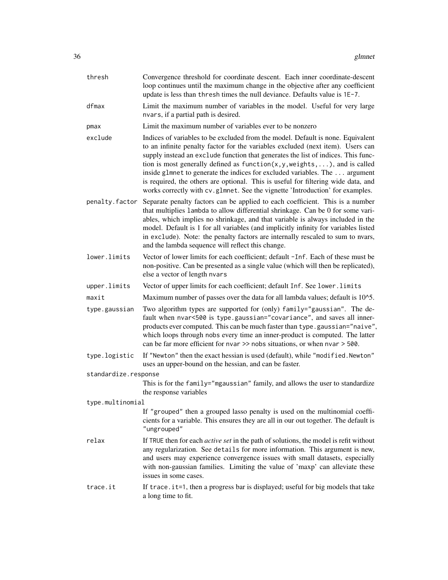| thresh               | Convergence threshold for coordinate descent. Each inner coordinate-descent<br>loop continues until the maximum change in the objective after any coefficient<br>update is less than thresh times the null deviance. Defaults value is 1E-7.                                                                                                                                                                                                                                                                                                                                                        |
|----------------------|-----------------------------------------------------------------------------------------------------------------------------------------------------------------------------------------------------------------------------------------------------------------------------------------------------------------------------------------------------------------------------------------------------------------------------------------------------------------------------------------------------------------------------------------------------------------------------------------------------|
| dfmax                | Limit the maximum number of variables in the model. Useful for very large<br>nvars, if a partial path is desired.                                                                                                                                                                                                                                                                                                                                                                                                                                                                                   |
| pmax                 | Limit the maximum number of variables ever to be nonzero                                                                                                                                                                                                                                                                                                                                                                                                                                                                                                                                            |
| exclude              | Indices of variables to be excluded from the model. Default is none. Equivalent<br>to an infinite penalty factor for the variables excluded (next item). Users can<br>supply instead an exclude function that generates the list of indices. This func-<br>tion is most generally defined as $function(x, y, weights, \ldots)$ , and is called<br>inside glmnet to generate the indices for excluded variables. The  argument<br>is required, the others are optional. This is useful for filtering wide data, and<br>works correctly with cv.g1mnet. See the vignette 'Introduction' for examples. |
| penalty.factor       | Separate penalty factors can be applied to each coefficient. This is a number<br>that multiplies lambda to allow differential shrinkage. Can be 0 for some vari-<br>ables, which implies no shrinkage, and that variable is always included in the<br>model. Default is 1 for all variables (and implicitly infinity for variables listed<br>in exclude). Note: the penalty factors are internally rescaled to sum to nvars,<br>and the lambda sequence will reflect this change.                                                                                                                   |
| lower.limits         | Vector of lower limits for each coefficient; default -Inf. Each of these must be<br>non-positive. Can be presented as a single value (which will then be replicated),<br>else a vector of length nvars                                                                                                                                                                                                                                                                                                                                                                                              |
| upper.limits         | Vector of upper limits for each coefficient; default Inf. See lower. limits                                                                                                                                                                                                                                                                                                                                                                                                                                                                                                                         |
| maxit                | Maximum number of passes over the data for all lambda values; default is 10^5.                                                                                                                                                                                                                                                                                                                                                                                                                                                                                                                      |
| type.gaussian        | Two algorithm types are supported for (only) family="gaussian". The de-<br>fault when nvar<500 is type.gaussian="covariance", and saves all inner-<br>products ever computed. This can be much faster than type.gaussian="naive",<br>which loops through nobs every time an inner-product is computed. The latter<br>can be far more efficient for nvar $\gg$ nobs situations, or when nvar $>$ 500.                                                                                                                                                                                                |
| type.logistic        | If "Newton" then the exact hessian is used (default), while "modified. Newton"<br>uses an upper-bound on the hessian, and can be faster.                                                                                                                                                                                                                                                                                                                                                                                                                                                            |
| standardize.response |                                                                                                                                                                                                                                                                                                                                                                                                                                                                                                                                                                                                     |
|                      | This is for the family="mgaussian" family, and allows the user to standardize<br>the response variables                                                                                                                                                                                                                                                                                                                                                                                                                                                                                             |
| type.multinomial     |                                                                                                                                                                                                                                                                                                                                                                                                                                                                                                                                                                                                     |
|                      | If "grouped" then a grouped lasso penalty is used on the multinomial coeffi-<br>cients for a variable. This ensures they are all in our out together. The default is<br>"ungrouped"                                                                                                                                                                                                                                                                                                                                                                                                                 |
| relax                | If TRUE then for each <i>active set</i> in the path of solutions, the model is refit without<br>any regularization. See details for more information. This argument is new,<br>and users may experience convergence issues with small datasets, especially<br>with non-gaussian families. Limiting the value of 'maxp' can alleviate these<br>issues in some cases.                                                                                                                                                                                                                                 |
| trace.it             | If trace. it=1, then a progress bar is displayed; useful for big models that take<br>a long time to fit.                                                                                                                                                                                                                                                                                                                                                                                                                                                                                            |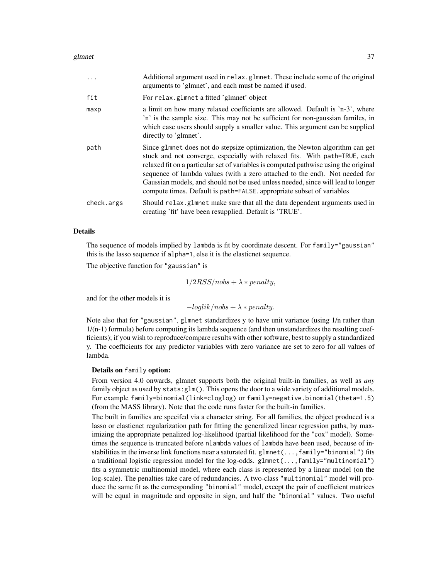#### glmnet 37

|            | Additional argument used in relax.glmnet. These include some of the original<br>arguments to 'glmnet', and each must be named if used.                                                                                                                                                                                                                                                                                                                                                         |
|------------|------------------------------------------------------------------------------------------------------------------------------------------------------------------------------------------------------------------------------------------------------------------------------------------------------------------------------------------------------------------------------------------------------------------------------------------------------------------------------------------------|
| fit        | For relax.glmnet a fitted 'glmnet' object                                                                                                                                                                                                                                                                                                                                                                                                                                                      |
| maxp       | a limit on how many relaxed coefficients are allowed. Default is 'n-3', where<br>'n' is the sample size. This may not be sufficient for non-gaussian familes, in<br>which case users should supply a smaller value. This argument can be supplied<br>directly to 'glmnet'.                                                                                                                                                                                                                     |
| path       | Since glmnet does not do stepsize optimization, the Newton algorithm can get<br>stuck and not converge, especially with relaxed fits. With path=TRUE, each<br>relaxed fit on a particular set of variables is computed pathwise using the original<br>sequence of lambda values (with a zero attached to the end). Not needed for<br>Gaussian models, and should not be used unless needed, since will lead to longer<br>compute times. Default is path=FALSE. appropriate subset of variables |
| check.args | Should relax.glmnet make sure that all the data dependent arguments used in<br>creating 'fit' have been resupplied. Default is 'TRUE'.                                                                                                                                                                                                                                                                                                                                                         |
|            |                                                                                                                                                                                                                                                                                                                                                                                                                                                                                                |

## Details

The sequence of models implied by lambda is fit by coordinate descent. For family="gaussian" this is the lasso sequence if alpha=1, else it is the elasticnet sequence.

The objective function for "gaussian" is

$$
1/2RSS|nobs + \lambda * penalty,
$$

and for the other models it is

 $-loglik/nobs + \lambda * penalty.$ 

Note also that for "gaussian", glmnet standardizes y to have unit variance (using 1/n rather than 1/(n-1) formula) before computing its lambda sequence (and then unstandardizes the resulting coefficients); if you wish to reproduce/compare results with other software, best to supply a standardized y. The coefficients for any predictor variables with zero variance are set to zero for all values of lambda.

## Details on family option:

From version 4.0 onwards, glmnet supports both the original built-in families, as well as *any* family object as used by stats:glm(). This opens the door to a wide variety of additional models. For example family=binomial(link=cloglog) or family=negative.binomial(theta=1.5) (from the MASS library). Note that the code runs faster for the built-in families.

The built in families are specifed via a character string. For all families, the object produced is a lasso or elasticnet regularization path for fitting the generalized linear regression paths, by maximizing the appropriate penalized log-likelihood (partial likelihood for the "cox" model). Sometimes the sequence is truncated before nlambda values of lambda have been used, because of instabilities in the inverse link functions near a saturated fit. glmnet( $\ldots$ , family="binomial") fits a traditional logistic regression model for the log-odds. glmnet(...,family="multinomial") fits a symmetric multinomial model, where each class is represented by a linear model (on the log-scale). The penalties take care of redundancies. A two-class "multinomial" model will produce the same fit as the corresponding "binomial" model, except the pair of coefficient matrices will be equal in magnitude and opposite in sign, and half the "binomial" values. Two useful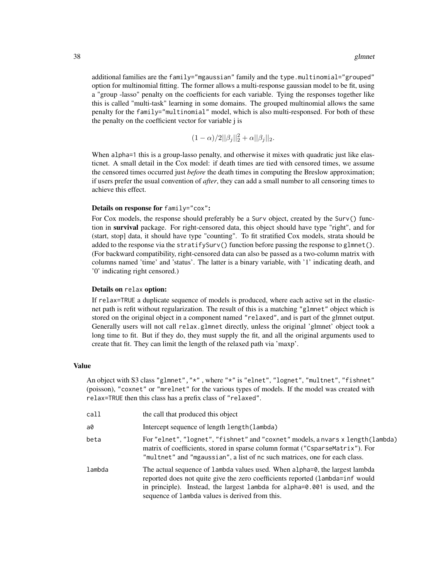additional families are the family="mgaussian" family and the type.multinomial="grouped" option for multinomial fitting. The former allows a multi-response gaussian model to be fit, using a "group -lasso" penalty on the coefficients for each variable. Tying the responses together like this is called "multi-task" learning in some domains. The grouped multinomial allows the same penalty for the family="multinomial" model, which is also multi-responsed. For both of these the penalty on the coefficient vector for variable j is

$$
(1 - \alpha)/2||\beta_j||_2^2 + \alpha||\beta_j||_2.
$$

When alpha=1 this is a group-lasso penalty, and otherwise it mixes with quadratic just like elasticnet. A small detail in the Cox model: if death times are tied with censored times, we assume the censored times occurred just *before* the death times in computing the Breslow approximation; if users prefer the usual convention of *after*, they can add a small number to all censoring times to achieve this effect.

#### Details on response for family="cox":

For Cox models, the response should preferably be a Surv object, created by the Surv() function in survival package. For right-censored data, this object should have type "right", and for (start, stop] data, it should have type "counting". To fit stratified Cox models, strata should be added to the response via the stratifySurv() function before passing the response to glmnet(). (For backward compatibility, right-censored data can also be passed as a two-column matrix with columns named 'time' and 'status'. The latter is a binary variable, with '1' indicating death, and '0' indicating right censored.)

#### Details on relax option:

If relax=TRUE a duplicate sequence of models is produced, where each active set in the elasticnet path is refit without regularization. The result of this is a matching "glmnet" object which is stored on the original object in a component named "relaxed", and is part of the glmnet output. Generally users will not call relax.glmnet directly, unless the original 'glmnet' object took a long time to fit. But if they do, they must supply the fit, and all the original arguments used to create that fit. They can limit the length of the relaxed path via 'maxp'.

#### Value

An object with S3 class "glmnet","\*" , where "\*" is "elnet", "lognet", "multnet", "fishnet" (poisson), "coxnet" or "mrelnet" for the various types of models. If the model was created with relax=TRUE then this class has a prefix class of "relaxed".

| call   | the call that produced this object                                                                                                                                                                                                                                                             |
|--------|------------------------------------------------------------------------------------------------------------------------------------------------------------------------------------------------------------------------------------------------------------------------------------------------|
| a0     | Intercept sequence of length length (lambda)                                                                                                                                                                                                                                                   |
| beta   | For "elnet", "lognet", "fishnet" and "coxnet" models, a nvars x length (lambda)<br>matrix of coefficients, stored in sparse column format ("CsparseMatrix"). For<br>"multnet" and "mgaussian", a list of nc such matrices, one for each class.                                                 |
| lambda | The actual sequence of lambda values used. When alpha=0, the largest lambda<br>reported does not quite give the zero coefficients reported (lambda=inf would<br>in principle). Instead, the largest lambda for alpha=0.001 is used, and the<br>sequence of lambda values is derived from this. |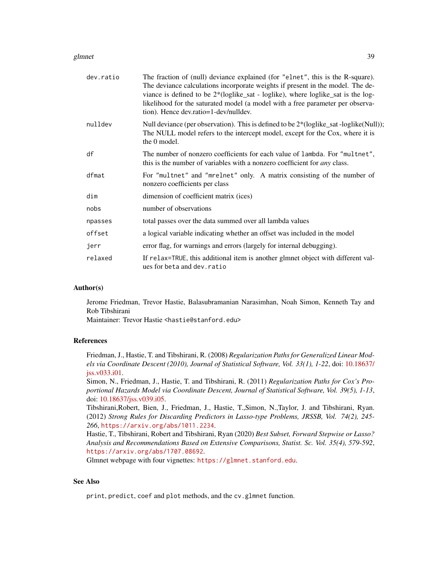#### glmnet 39

| dev.ratio | The fraction of (null) deviance explained (for "elnet", this is the R-square).<br>The deviance calculations incorporate weights if present in the model. The de-<br>viance is defined to be $2*(loglike_sat - loglike)$ , where loglike sat is the log-<br>likelihood for the saturated model (a model with a free parameter per observa-<br>tion). Hence dev.ratio=1-dev/nulldev. |
|-----------|------------------------------------------------------------------------------------------------------------------------------------------------------------------------------------------------------------------------------------------------------------------------------------------------------------------------------------------------------------------------------------|
| nulldev   | Null deviance (per observation). This is defined to be 2*(loglike_sat -loglike(Null));<br>The NULL model refers to the intercept model, except for the Cox, where it is<br>the 0 model.                                                                                                                                                                                            |
| df        | The number of nonzero coefficients for each value of lambda. For "multnet",<br>this is the number of variables with a nonzero coefficient for <i>any</i> class.                                                                                                                                                                                                                    |
| dfmat     | For "multnet" and "mrelnet" only. A matrix consisting of the number of<br>nonzero coefficients per class                                                                                                                                                                                                                                                                           |
| dim       | dimension of coefficient matrix (ices)                                                                                                                                                                                                                                                                                                                                             |
| nobs      | number of observations                                                                                                                                                                                                                                                                                                                                                             |
| npasses   | total passes over the data summed over all lambda values                                                                                                                                                                                                                                                                                                                           |
| offset    | a logical variable indicating whether an offset was included in the model                                                                                                                                                                                                                                                                                                          |
| jerr      | error flag, for warnings and errors (largely for internal debugging).                                                                                                                                                                                                                                                                                                              |
| relaxed   | If relax=TRUE, this additional item is another glmnet object with different val-<br>ues for beta and dev. ratio                                                                                                                                                                                                                                                                    |

#### Author(s)

Jerome Friedman, Trevor Hastie, Balasubramanian Narasimhan, Noah Simon, Kenneth Tay and Rob Tibshirani

Maintainer: Trevor Hastie <hastie@stanford.edu>

## References

Friedman, J., Hastie, T. and Tibshirani, R. (2008) *Regularization Paths for Generalized Linear Models via Coordinate Descent (2010), Journal of Statistical Software, Vol. 33(1), 1-22*, doi: [10.18637/](https://doi.org/10.18637/jss.v033.i01) [jss.v033.i01.](https://doi.org/10.18637/jss.v033.i01)

Simon, N., Friedman, J., Hastie, T. and Tibshirani, R. (2011) *Regularization Paths for Cox's Proportional Hazards Model via Coordinate Descent, Journal of Statistical Software, Vol. 39(5), 1-13*, doi: [10.18637/jss.v039.i05.](https://doi.org/10.18637/jss.v039.i05)

Tibshirani,Robert, Bien, J., Friedman, J., Hastie, T.,Simon, N.,Taylor, J. and Tibshirani, Ryan. (2012) *Strong Rules for Discarding Predictors in Lasso-type Problems, JRSSB, Vol. 74(2), 245- 266*, <https://arxiv.org/abs/1011.2234>.

Hastie, T., Tibshirani, Robert and Tibshirani, Ryan (2020) *Best Subset, Forward Stepwise or Lasso? Analysis and Recommendations Based on Extensive Comparisons, Statist. Sc. Vol. 35(4), 579-592*, <https://arxiv.org/abs/1707.08692>.

Glmnet webpage with four vignettes: <https://glmnet.stanford.edu>.

# See Also

print, predict, coef and plot methods, and the cv.glmnet function.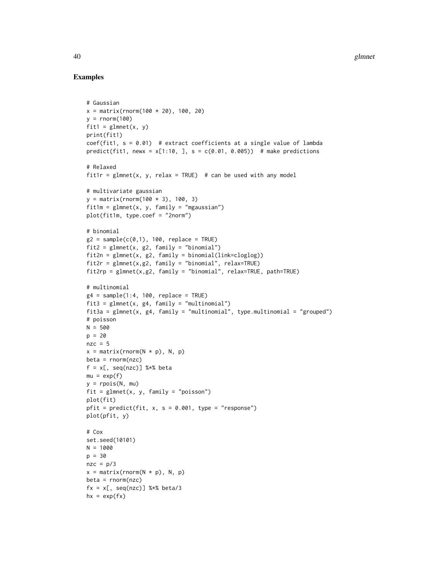## Examples

```
# Gaussian
x = matrix(rnorm(100 * 20), 100, 20)y = rnorm(100)fit1 = glmnet(x, y)print(fit1)
coef(fit1, s = 0.01) # extract coefficients at a single value of lambda
predict(fit1, newx = x[1:10, 1, s = c(0.01, 0.005)) # make predictions
# Relaxed
fit1r = glmnet(x, y, relax = TRUE) # can be used with any model
# multivariate gaussian
y = matrix(rnorm(100 * 3), 100, 3)fit1m = glmnet(x, y, family = "mgaussian")
plot(fit1m, type.coef = "2norm")
# binomial
g2 = sample(c(0,1), 100, replace = TRUE)fit2 = glmnet(x, g2, family = "binomial")fit2n = glmnet(x, g2, family = binomial(link=cloglog))
fit2r = glmnet(x,g2, family = "binomial", relax=TRUE)
fit2rp = glmnet(x,g2, family = "binomial", relax=TRUE, path=TRUE)
# multinomial
g4 = sample(1:4, 100, replace = TRUE)fit3 = glmnet(x, g4, family = "multinomial")fit3a = glmnet(x, g4, family = "multinomial", type.multinomial = "grouped")
# poisson
N = 500
p = 20nzc = 5x = matrix(rnorm(N * p), N, p)beta = rnorm(nzc)
f = x[, \text{ seq}(nzc)] %*% beta
mu = exp(f)y = rpois(N, mu)
fit = glmnet(x, y, family = "poisson")plot(fit)
pfit = predict(fit, x, s = 0.001, type = "response")plot(pfit, y)
# Cox
set.seed(10101)
N = 1000
p = 30
nze = p/3x = matrix(rnorm(N * p), N, p)beta = rnorm(nzc)fx = x[, seq(nzc)] %*% beta/3
hx = exp(fx)
```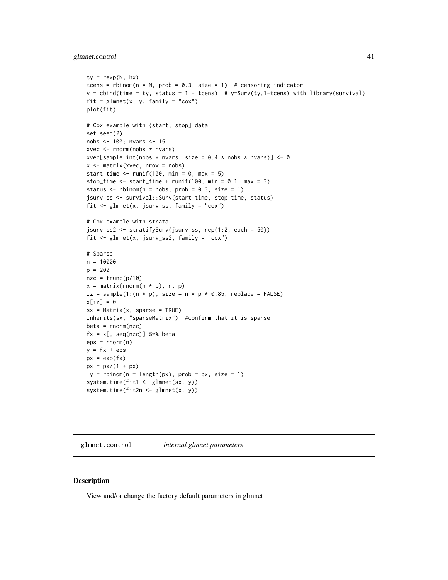## <span id="page-40-0"></span>glmnet.control 41

```
ty = \text{rexp}(N, hx)tcens = rbinom(n = N, prob = 0.3, size = 1) # censoring indicator
y = \text{cbind}(\text{time} = \text{ty}, \text{status} = 1 - \text{teens}) # y = \text{Surv}(\text{ty}, 1 - \text{teens}) with library(survival)
fit = glmnet(x, y, family = "cox")plot(fit)
# Cox example with (start, stop] data
set.seed(2)
nobs <- 100; nvars <- 15
xvec <- rnorm(nobs * nvars)
xvec[sample.int(nobs * nvars, size = 0.4 * nobs * nvars)] <- 0
x <- matrix(xvec, nrow = nobs)
start_time \le runif(100, min = 0, max = 5)
stop_time \le start_time + runif(100, min = 0.1, max = 3)
status \le rbinom(n = nobs, prob = 0.3, size = 1)
jsurv_ss <- survival::Surv(start_time, stop_time, status)
fit <- glmnet(x, jsurv_ss, family = "cox")
# Cox example with strata
jsurv_ss2 <- stratifySurv(jsurv_ss, rep(1:2, each = 50))
fit <- glmnet(x, jsurv_ss2, family = "cox")
# Sparse
n = 10000
p = 200
nze = trunc(p/10)x = matrix(rnorm(n * p), n, p)iz = sample(1:(n * p), size = n * p * 0.85, replace = FALSE)x[iz] = 0sx = Matrix(x, sparse = TRUE)inherits(sx, "sparseMatrix") #confirm that it is sparse
beta = rnorm(nzc)fx = x[, seq(nzc)] %*% beta
eps = rnorm(n)y = fx + epspx = exp(fx)px = px/(1 + px)ly = rhinom(n = length(px), prob = px, size = 1)system.time(fit1 <- glmnet(sx, y))
system.time(fit2n <- glmnet(x, y))
```
glmnet.control *internal glmnet parameters*

#### **Description**

View and/or change the factory default parameters in glmnet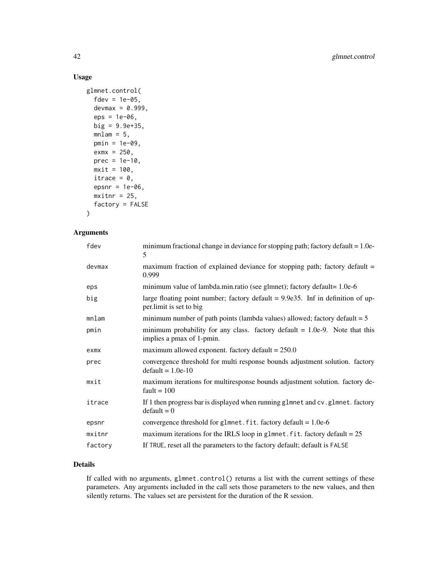## Usage

```
glmnet.control(
  fdev = 1e-05,
  devmax = 0.999,
  eps = 1e-06,
  big = 9.9e+35,
  mlam = 5,
  pmin = 1e-09,
  exmx = 250,prec = 1e-10,
  mxit = 100,
  itrace = 0,
  epsnr = 1e-06,
  mxitnr = 25,
  factory = FALSE
)
```
## Arguments

| fdev    | minimum fractional change in deviance for stopping path; factory default = 1.0e-<br>5                         |
|---------|---------------------------------------------------------------------------------------------------------------|
| devmax  | maximum fraction of explained deviance for stopping path; factory default =<br>0.999                          |
| eps     | minimum value of lambda.min.ratio (see glmnet); factory default= 1.0e-6                                       |
| big     | large floating point number; factory default $= 9.9e35$ . Inf in definition of up-<br>per.limit is set to big |
| mnlam   | minimum number of path points (lambda values) allowed; factory default $= 5$                                  |
| pmin    | minimum probability for any class. factory default $= 1.0e-9$ . Note that this<br>implies a pmax of 1-pmin.   |
| exmx    | maximum allowed exponent. factory default $= 250.0$                                                           |
| prec    | convergence threshold for multi response bounds adjustment solution. factory<br>$default = 1.0e-10$           |
| mxit    | maximum iterations for multiresponse bounds adjustment solution. factory de-<br>fault = $100$                 |
| itrace  | If 1 then progress bar is displayed when running glmnet and cv.glmnet. factory<br>$default = 0$               |
| epsnr   | convergence threshold for glmnet. fit. factory default = $1.0e-6$                                             |
| mxitnr  | maximum iterations for the IRLS loop in glmnet. fit. factory default = $25$                                   |
| factory | If TRUE, reset all the parameters to the factory default; default is FALSE                                    |

## Details

If called with no arguments, glmnet.control() returns a list with the current settings of these parameters. Any arguments included in the call sets those parameters to the new values, and then silently returns. The values set are persistent for the duration of the R session.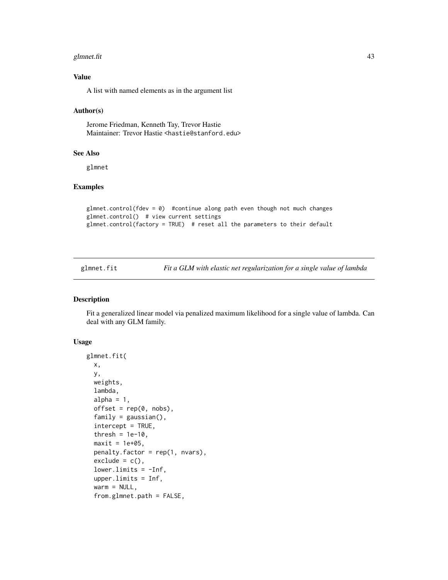#### <span id="page-42-0"></span>glmnet.fit 43

## Value

A list with named elements as in the argument list

#### Author(s)

Jerome Friedman, Kenneth Tay, Trevor Hastie Maintainer: Trevor Hastie <hastie@stanford.edu>

## See Also

glmnet

#### Examples

```
glmnet.control(fdev = \theta) #continue along path even though not much changes
glmnet.control() # view current settings
glmnet.control(factory = TRUE) # reset all the parameters to their default
```
## Description

Fit a generalized linear model via penalized maximum likelihood for a single value of lambda. Can deal with any GLM family.

# Usage

```
glmnet.fit(
 x,
 y,
 weights,
  lambda,
  alpha = 1,
 offset = rep(0, nobs),family = gaussian(),
  intercept = TRUE,
  thresh = 1e-10,
 maxit = 1e+05,
 penalty.factor = rep(1, nvars),exclude = c(),
  lower-limits = -Inf,upper.limits = Inf,
  warm = NULL,from.glmnet.path = FALSE,
```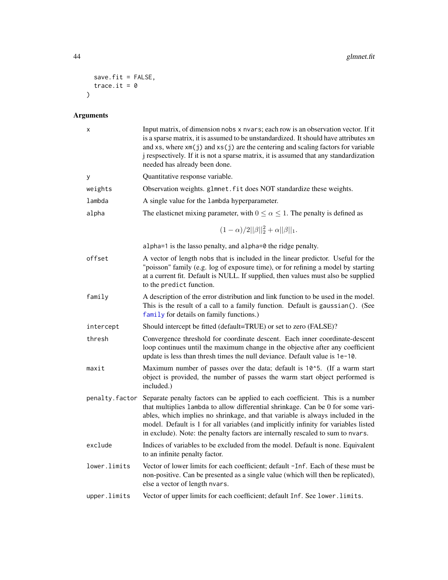```
save.fit = FALSE,
 trace.it = \theta\lambda
```
# Arguments

| Χ              | Input matrix, of dimension nobs x nvars; each row is an observation vector. If it<br>is a sparse matrix, it is assumed to be unstandardized. It should have attributes xm<br>and $xs$ , where $xm(j)$ and $xs(j)$ are the centering and scaling factors for variable<br>j respsectively. If it is not a sparse matrix, it is assumed that any standardization<br>needed has already been done.                               |
|----------------|------------------------------------------------------------------------------------------------------------------------------------------------------------------------------------------------------------------------------------------------------------------------------------------------------------------------------------------------------------------------------------------------------------------------------|
| у              | Quantitative response variable.                                                                                                                                                                                                                                                                                                                                                                                              |
| weights        | Observation weights. glmnet. fit does NOT standardize these weights.                                                                                                                                                                                                                                                                                                                                                         |
| lambda         | A single value for the lambda hyperparameter.                                                                                                                                                                                                                                                                                                                                                                                |
| alpha          | The elasticnet mixing parameter, with $0 \le \alpha \le 1$ . The penalty is defined as                                                                                                                                                                                                                                                                                                                                       |
|                | $(1-\alpha)/2  \beta  _2^2+\alpha  \beta  _1.$                                                                                                                                                                                                                                                                                                                                                                               |
|                | alpha=1 is the lasso penalty, and alpha=0 the ridge penalty.                                                                                                                                                                                                                                                                                                                                                                 |
| offset         | A vector of length nobs that is included in the linear predictor. Useful for the<br>"poisson" family (e.g. log of exposure time), or for refining a model by starting<br>at a current fit. Default is NULL. If supplied, then values must also be supplied<br>to the predict function.                                                                                                                                       |
| family         | A description of the error distribution and link function to be used in the model.<br>This is the result of a call to a family function. Default is gaussian(). (See<br>family for details on family functions.)                                                                                                                                                                                                             |
| intercept      | Should intercept be fitted (default=TRUE) or set to zero (FALSE)?                                                                                                                                                                                                                                                                                                                                                            |
| thresh         | Convergence threshold for coordinate descent. Each inner coordinate-descent<br>loop continues until the maximum change in the objective after any coefficient<br>update is less than thresh times the null deviance. Default value is 1e-10.                                                                                                                                                                                 |
| maxit          | Maximum number of passes over the data; default is 10^5. (If a warm start<br>object is provided, the number of passes the warm start object performed is<br>included.)                                                                                                                                                                                                                                                       |
| penalty.factor | Separate penalty factors can be applied to each coefficient. This is a number<br>that multiplies lambda to allow differential shrinkage. Can be 0 for some vari-<br>ables, which implies no shrinkage, and that variable is always included in the<br>model. Default is 1 for all variables (and implicitly infinity for variables listed<br>in exclude). Note: the penalty factors are internally rescaled to sum to nvars. |
| exclude        | Indices of variables to be excluded from the model. Default is none. Equivalent<br>to an infinite penalty factor.                                                                                                                                                                                                                                                                                                            |
| lower.limits   | Vector of lower limits for each coefficient; default -Inf. Each of these must be<br>non-positive. Can be presented as a single value (which will then be replicated),<br>else a vector of length nvars.                                                                                                                                                                                                                      |
| upper.limits   | Vector of upper limits for each coefficient; default Inf. See lower. limits.                                                                                                                                                                                                                                                                                                                                                 |

<span id="page-43-0"></span>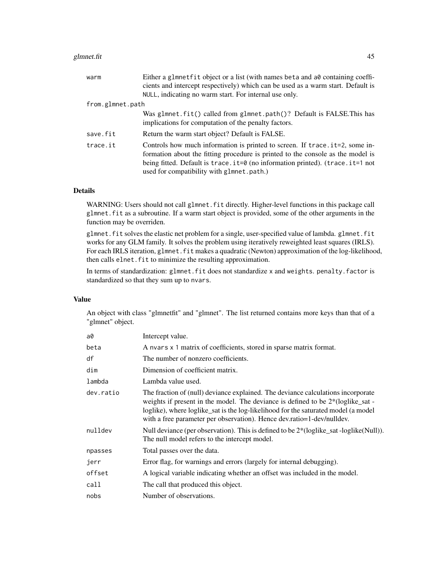#### glmnet.fit 45

| warm             | Either a glmnetfit object or a list (with names beta and a0 containing coeffi-<br>cients and intercept respectively) which can be used as a warm start. Default is                                                                                                                           |
|------------------|----------------------------------------------------------------------------------------------------------------------------------------------------------------------------------------------------------------------------------------------------------------------------------------------|
|                  | NULL, indicating no warm start. For internal use only.                                                                                                                                                                                                                                       |
| from.glmnet.path |                                                                                                                                                                                                                                                                                              |
|                  | Was glmnet.fit() called from glmnet.path()? Default is FALSE.This has<br>implications for computation of the penalty factors.                                                                                                                                                                |
| save.fit         | Return the warm start object? Default is FALSE.                                                                                                                                                                                                                                              |
| trace.it         | Controls how much information is printed to screen. If trace it=2, some in-<br>formation about the fitting procedure is printed to the console as the model is<br>being fitted. Default is trace.it=0 (no information printed). (trace.it=1 not<br>used for compatibility with glmnet.path.) |

## Details

WARNING: Users should not call glmnet. fit directly. Higher-level functions in this package call glmnet.fit as a subroutine. If a warm start object is provided, some of the other arguments in the function may be overriden.

glmnet.fit solves the elastic net problem for a single, user-specified value of lambda. glmnet.fit works for any GLM family. It solves the problem using iteratively reweighted least squares (IRLS). For each IRLS iteration, g1mnet. fit makes a quadratic (Newton) approximation of the log-likelihood, then calls elnet. fit to minimize the resulting approximation.

In terms of standardization: glmnet.fit does not standardize x and weights. penalty.factor is standardized so that they sum up to nvars.

## Value

An object with class "glmnetfit" and "glmnet". The list returned contains more keys than that of a "glmnet" object.

| a0        | Intercept value.                                                                                                                                                                                                                                                                                                                    |
|-----------|-------------------------------------------------------------------------------------------------------------------------------------------------------------------------------------------------------------------------------------------------------------------------------------------------------------------------------------|
| beta      | A nvars x 1 matrix of coefficients, stored in sparse matrix format.                                                                                                                                                                                                                                                                 |
| df        | The number of nonzero coefficients.                                                                                                                                                                                                                                                                                                 |
| dim       | Dimension of coefficient matrix.                                                                                                                                                                                                                                                                                                    |
| lambda    | Lambda value used.                                                                                                                                                                                                                                                                                                                  |
| dev.ratio | The fraction of (null) deviance explained. The deviance calculations incorporate<br>weights if present in the model. The deviance is defined to be 2*(loglike_sat -<br>loglike), where loglike_sat is the log-likelihood for the saturated model (a model<br>with a free parameter per observation). Hence dev.ratio=1-dev/nulldev. |
| nulldev   | Null deviance (per observation). This is defined to be $2*(loglike_sat -loglike(Null))$ .<br>The null model refers to the intercept model.                                                                                                                                                                                          |
| npasses   | Total passes over the data.                                                                                                                                                                                                                                                                                                         |
| jerr      | Error flag, for warnings and errors (largely for internal debugging).                                                                                                                                                                                                                                                               |
| offset    | A logical variable indicating whether an offset was included in the model.                                                                                                                                                                                                                                                          |
| call      | The call that produced this object.                                                                                                                                                                                                                                                                                                 |
| nobs      | Number of observations.                                                                                                                                                                                                                                                                                                             |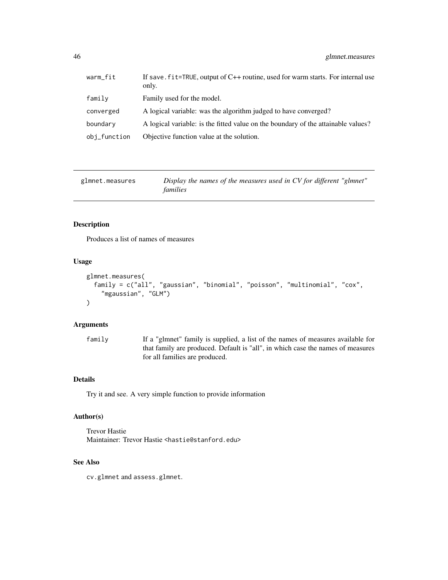<span id="page-45-0"></span>

| warm_fit     | If save $\mathsf{fit}$ =TRUE, output of C++ routine, used for warm starts. For internal use<br>only. |
|--------------|------------------------------------------------------------------------------------------------------|
| family       | Family used for the model.                                                                           |
| converged    | A logical variable: was the algorithm judged to have converged?                                      |
| boundary     | A logical variable: is the fitted value on the boundary of the attainable values?                    |
| obj_function | Objective function value at the solution.                                                            |

| glmnet.measures | Display the names of the measures used in CV for different "glmnet" |
|-----------------|---------------------------------------------------------------------|
|                 | families                                                            |

## Description

Produces a list of names of measures

## Usage

```
glmnet.measures(
  family = c("all", "gaussian", "binomial", "poisson", "multinomial", "cox",
    "mgaussian", "GLM")
\mathcal{E}
```
## Arguments

family If a "glmnet" family is supplied, a list of the names of measures available for that family are produced. Default is "all", in which case the names of measures for all families are produced.

## Details

Try it and see. A very simple function to provide information

## Author(s)

Trevor Hastie Maintainer: Trevor Hastie <hastie@stanford.edu>

## See Also

cv.glmnet and assess.glmnet.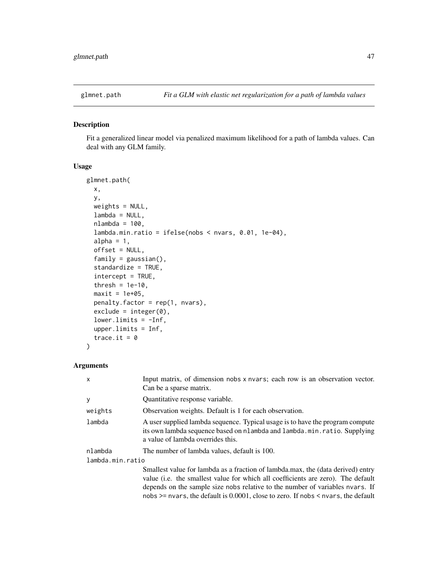<span id="page-46-0"></span>

## Description

Fit a generalized linear model via penalized maximum likelihood for a path of lambda values. Can deal with any GLM family.

#### Usage

```
glmnet.path(
 x,
 y,
 weights = NULL,
 lambda = NULL,nlambda = 100,
  lambda.min.ratio = ifelse(nobs < nvars, 0.01, 1e-04),
  alpha = 1,
 offset = NULL,
  family = gaussian(),
  standardize = TRUE,
  intercept = TRUE,
  thresh = 1e-10,
 maxit = 1e+05,
 penalty.factor = rep(1, nvars),
  exclude = integer(0),
  lower.linalg = -Inf,upper.limits = Inf,
  trace.it = 0\mathcal{E}
```
#### Arguments

| X                | Input matrix, of dimension nobs x nvars; each row is an observation vector.<br>Can be a sparse matrix.                                                                                                                                                                                                                                             |  |
|------------------|----------------------------------------------------------------------------------------------------------------------------------------------------------------------------------------------------------------------------------------------------------------------------------------------------------------------------------------------------|--|
| y                | Quantitative response variable.                                                                                                                                                                                                                                                                                                                    |  |
| weights          | Observation weights. Default is 1 for each observation.                                                                                                                                                                                                                                                                                            |  |
| lambda           | A user supplied lambda sequence. Typical usage is to have the program compute<br>its own lambda sequence based on nlambda and lambda.min.ratio. Supplying<br>a value of lambda overrides this.                                                                                                                                                     |  |
| nlambda          | The number of lambda values, default is 100.                                                                                                                                                                                                                                                                                                       |  |
| lambda.min.ratio |                                                                                                                                                                                                                                                                                                                                                    |  |
|                  | Smallest value for lambda as a fraction of lambda.max, the (data derived) entry<br>value (i.e. the smallest value for which all coefficients are zero). The default<br>depends on the sample size nobs relative to the number of variables nyars. If<br>nobs $\ge$ = nvars, the default is 0.0001, close to zero. If nobs $\le$ nvars, the default |  |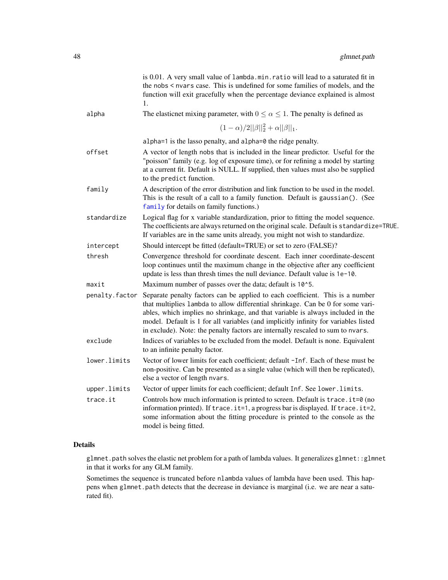<span id="page-47-0"></span>

|                | is 0.01. A very small value of lambda.min.ratio will lead to a saturated fit in<br>the nobs < nvars case. This is undefined for some families of models, and the<br>function will exit gracefully when the percentage deviance explained is almost<br>1.                                                                                                                                                                     |
|----------------|------------------------------------------------------------------------------------------------------------------------------------------------------------------------------------------------------------------------------------------------------------------------------------------------------------------------------------------------------------------------------------------------------------------------------|
| alpha          | The elasticnet mixing parameter, with $0 \le \alpha \le 1$ . The penalty is defined as                                                                                                                                                                                                                                                                                                                                       |
|                | $(1-\alpha)/2  \beta  _2^2+\alpha  \beta  _1.$                                                                                                                                                                                                                                                                                                                                                                               |
|                | alpha=1 is the lasso penalty, and alpha=0 the ridge penalty.                                                                                                                                                                                                                                                                                                                                                                 |
| offset         | A vector of length nobs that is included in the linear predictor. Useful for the<br>"poisson" family (e.g. log of exposure time), or for refining a model by starting<br>at a current fit. Default is NULL. If supplied, then values must also be supplied<br>to the predict function.                                                                                                                                       |
| family         | A description of the error distribution and link function to be used in the model.<br>This is the result of a call to a family function. Default is gaussian(). (See<br>family for details on family functions.)                                                                                                                                                                                                             |
| standardize    | Logical flag for x variable standardization, prior to fitting the model sequence.<br>The coefficients are always returned on the original scale. Default is standardize=TRUE.<br>If variables are in the same units already, you might not wish to standardize.                                                                                                                                                              |
| intercept      | Should intercept be fitted (default=TRUE) or set to zero (FALSE)?                                                                                                                                                                                                                                                                                                                                                            |
| thresh         | Convergence threshold for coordinate descent. Each inner coordinate-descent<br>loop continues until the maximum change in the objective after any coefficient<br>update is less than thresh times the null deviance. Default value is 1e-10.                                                                                                                                                                                 |
| maxit          | Maximum number of passes over the data; default is 10^5.                                                                                                                                                                                                                                                                                                                                                                     |
| penalty.factor | Separate penalty factors can be applied to each coefficient. This is a number<br>that multiplies lambda to allow differential shrinkage. Can be 0 for some vari-<br>ables, which implies no shrinkage, and that variable is always included in the<br>model. Default is 1 for all variables (and implicitly infinity for variables listed<br>in exclude). Note: the penalty factors are internally rescaled to sum to nvars. |
| exclude        | Indices of variables to be excluded from the model. Default is none. Equivalent<br>to an infinite penalty factor.                                                                                                                                                                                                                                                                                                            |
| lower.limits   | Vector of lower limits for each coefficient; default -Inf. Each of these must be<br>non-positive. Can be presented as a single value (which will then be replicated),<br>else a vector of length nvars.                                                                                                                                                                                                                      |
| upper.limits   | Vector of upper limits for each coefficient; default Inf. See lower. limits.                                                                                                                                                                                                                                                                                                                                                 |
| trace.it       | Controls how much information is printed to screen. Default is trace. it=0 (no<br>information printed). If trace.it=1, a progress bar is displayed. If trace.it=2,<br>some information about the fitting procedure is printed to the console as the<br>model is being fitted.                                                                                                                                                |
|                |                                                                                                                                                                                                                                                                                                                                                                                                                              |

## Details

glmnet.path solves the elastic net problem for a path of lambda values. It generalizes glmnet::glmnet in that it works for any GLM family.

Sometimes the sequence is truncated before nlambda values of lambda have been used. This happens when glmnet.path detects that the decrease in deviance is marginal (i.e. we are near a saturated fit).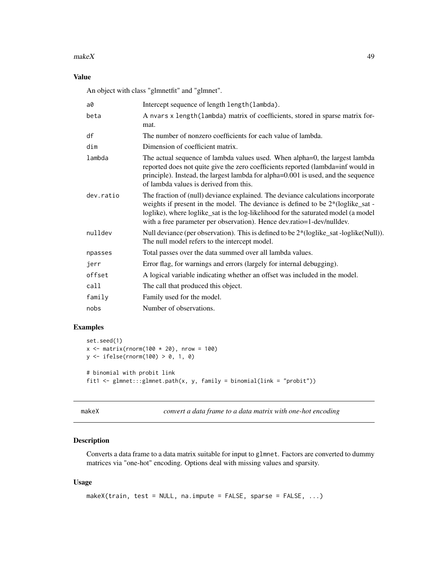#### <span id="page-48-0"></span> $makeX$  and  $49$

# Value

An object with class "glmnetfit" and "glmnet".

| a0        | Intercept sequence of length length (lambda).                                                                                                                                                                                                                                                                                         |
|-----------|---------------------------------------------------------------------------------------------------------------------------------------------------------------------------------------------------------------------------------------------------------------------------------------------------------------------------------------|
| beta      | A nvars x length (lambda) matrix of coefficients, stored in sparse matrix for-<br>mat.                                                                                                                                                                                                                                                |
| df        | The number of nonzero coefficients for each value of lambda.                                                                                                                                                                                                                                                                          |
| dim       | Dimension of coefficient matrix.                                                                                                                                                                                                                                                                                                      |
| lambda    | The actual sequence of lambda values used. When alpha=0, the largest lambda<br>reported does not quite give the zero coefficients reported (lambda=inf would in<br>principle). Instead, the largest lambda for alpha=0.001 is used, and the sequence<br>of lambda values is derived from this.                                        |
| dev.ratio | The fraction of (null) deviance explained. The deviance calculations incorporate<br>weights if present in the model. The deviance is defined to be $2*(loglike_sat -$<br>loglike), where loglike_sat is the log-likelihood for the saturated model (a model<br>with a free parameter per observation). Hence dev.ratio=1-dev/nulldev. |
| nulldev   | Null deviance (per observation). This is defined to be 2*(loglike_sat -loglike(Null)).<br>The null model refers to the intercept model.                                                                                                                                                                                               |
| npasses   | Total passes over the data summed over all lambda values.                                                                                                                                                                                                                                                                             |
| jerr      | Error flag, for warnings and errors (largely for internal debugging).                                                                                                                                                                                                                                                                 |
| offset    | A logical variable indicating whether an offset was included in the model.                                                                                                                                                                                                                                                            |
| call      | The call that produced this object.                                                                                                                                                                                                                                                                                                   |
| family    | Family used for the model.                                                                                                                                                                                                                                                                                                            |
| nobs      | Number of observations.                                                                                                                                                                                                                                                                                                               |
|           |                                                                                                                                                                                                                                                                                                                                       |

# Examples

```
set.seed(1)
x \le matrix(rnorm(100 * 20), nrow = 100)
y <- ifelse(rnorm(100) > 0, 1, 0)
# binomial with probit link
fit1 <- glmnet:::glmnet.path(x, y, family = binomial(link = "probit"))
```

```
makeX convert a data frame to a data matrix with one-hot encoding
```
## Description

Converts a data frame to a data matrix suitable for input to glmnet. Factors are converted to dummy matrices via "one-hot" encoding. Options deal with missing values and sparsity.

## Usage

```
makeX(train, test = NULL, na.impute = FALSE, sparse = FALSE, ...)
```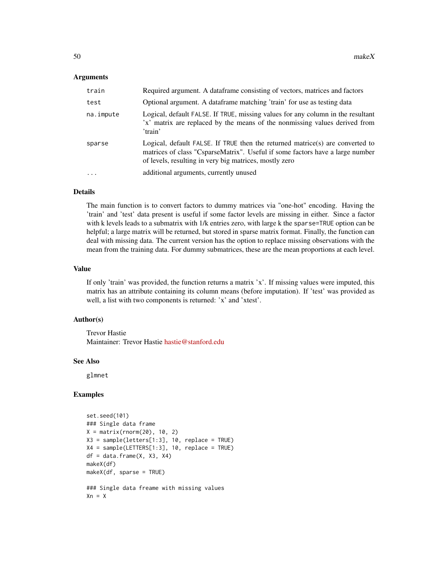#### Arguments

| train     | Required argument. A dataframe consisting of vectors, matrices and factors                                                                                                                                               |
|-----------|--------------------------------------------------------------------------------------------------------------------------------------------------------------------------------------------------------------------------|
| test      | Optional argument. A dataframe matching 'train' for use as testing data                                                                                                                                                  |
| na.impute | Logical, default FALSE. If TRUE, missing values for any column in the resultant<br>'x' matrix are replaced by the means of the nonmissing values derived from<br>'train'                                                 |
| sparse    | Logical, default FALSE. If TRUE then the returned matrice(s) are converted to<br>matrices of class "CsparseMatrix". Useful if some factors have a large number<br>of levels, resulting in very big matrices, mostly zero |
| $\cdots$  | additional arguments, currently unused                                                                                                                                                                                   |

## Details

The main function is to convert factors to dummy matrices via "one-hot" encoding. Having the 'train' and 'test' data present is useful if some factor levels are missing in either. Since a factor with k levels leads to a submatrix with 1/k entries zero, with large k the sparse=TRUE option can be helpful; a large matrix will be returned, but stored in sparse matrix format. Finally, the function can deal with missing data. The current version has the option to replace missing observations with the mean from the training data. For dummy submatrices, these are the mean proportions at each level.

#### Value

If only 'train' was provided, the function returns a matrix 'x'. If missing values were imputed, this matrix has an attribute containing its column means (before imputation). If 'test' was provided as well, a list with two components is returned: 'x' and 'xtest'.

#### Author(s)

Trevor Hastie Maintainer: Trevor Hastie [hastie@stanford.edu](mailto:hastie@stanford.edu)

#### See Also

glmnet

# Examples

```
set.seed(101)
### Single data frame
X = matrix(rnorm(20), 10, 2)X3 = sample(letters[1:3], 10, replace = TRUE)X4 = sample(LETTERS[1:3], 10, replace = TRUE)
df = data.frame(X, X3, X4)makeX(df)
makeX(df, sparse = TRUE)
### Single data freame with missing values
```
 $Xn = X$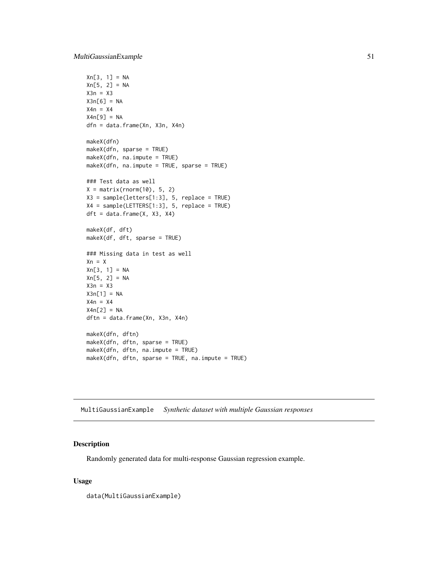```
Xn[3, 1] = NAXn[5, 2] = NAX3n = X3X3n[6] = NA
X4n = X4X4n[9] = NA
dfn = data.frame(Xn, X3n, X4n)
makeX(dfn)
makeX(dfn, sparse = TRUE)
makeX(dfn, na.impute = TRUE)
makeX(dfn, na.impute = TRUE, sparse = TRUE)
### Test data as well
X = matrix(rnorm(10), 5, 2)X3 = sample(letters[1:3], 5, replace = TRUE)
X4 = sample(LETTERS[1:3], 5, replace = TRUE)
dft = data.frame(X, X3, X4)makeX(df, dft)
makeX(df, dft, sparse = TRUE)
### Missing data in test as well
Xn = XXn[3, 1] = NA
Xn[5, 2] = NAX3n = X3X3n[1] = NAX4n = X4X4n[2] = NA
dftn = data.frame(Xn, X3n, X4n)
makeX(dfn, dftn)
makeX(dfn, dftn, sparse = TRUE)
makeX(dfn, dftn, na.impute = TRUE)
makeX(dfn, dftn, sparse = TRUE, na.impute = TRUE)
```
MultiGaussianExample *Synthetic dataset with multiple Gaussian responses*

#### Description

Randomly generated data for multi-response Gaussian regression example.

#### Usage

data(MultiGaussianExample)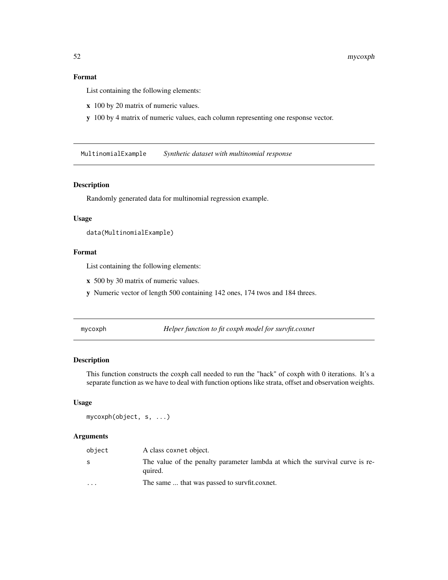## <span id="page-51-0"></span>Format

List containing the following elements:

- x 100 by 20 matrix of numeric values.
- y 100 by 4 matrix of numeric values, each column representing one response vector.

MultinomialExample *Synthetic dataset with multinomial response*

## Description

Randomly generated data for multinomial regression example.

#### Usage

```
data(MultinomialExample)
```
## Format

List containing the following elements:

- x 500 by 30 matrix of numeric values.
- y Numeric vector of length 500 containing 142 ones, 174 twos and 184 threes.

mycoxph *Helper function to fit coxph model for survfit.coxnet*

# Description

This function constructs the coxph call needed to run the "hack" of coxph with 0 iterations. It's a separate function as we have to deal with function options like strata, offset and observation weights.

## Usage

mycoxph(object, s, ...)

#### Arguments

| object                  | A class coxnet object.                                                                  |
|-------------------------|-----------------------------------------------------------------------------------------|
| S                       | The value of the penalty parameter lambda at which the survival curve is re-<br>quired. |
| $\cdot$ $\cdot$ $\cdot$ | The same  that was passed to survfit.coxnet.                                            |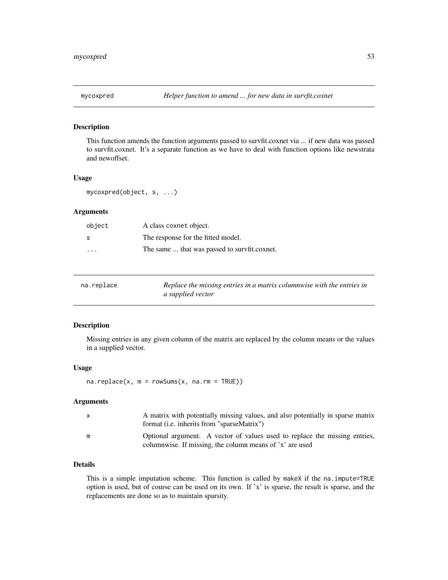#### <span id="page-52-0"></span>Description

This function amends the function arguments passed to survfit.coxnet via ... if new data was passed to survfit.coxnet. It's a separate function as we have to deal with function options like newstrata and newoffset.

## Usage

mycoxpred(object, s, ...)

# Arguments

| object                  | A class coxnet object.                       |
|-------------------------|----------------------------------------------|
| S                       | The response for the fitted model.           |
| $\cdot$ $\cdot$ $\cdot$ | The same  that was passed to survfit.coxnet. |

| na.replace | Replace the missing entries in a matrix columnwise with the entries in |
|------------|------------------------------------------------------------------------|
|            | a supplied vector                                                      |

## Description

Missing entries in any given column of the matrix are replaced by the column means or the values in a supplied vector.

#### Usage

 $na.replace(x, m = rowsums(x, na.m = TRUE))$ 

#### Arguments

| x | A matrix with potentially missing values, and also potentially in sparse matrix<br>format ( <i>i.e.</i> inherits from "sparseMatrix")  |
|---|----------------------------------------------------------------------------------------------------------------------------------------|
| m | Optional argument. A vector of values used to replace the missing entries,<br>columnwise. If missing, the column means of 'x' are used |

## Details

This is a simple imputation scheme. This function is called by makeX if the na.impute=TRUE option is used, but of course can be used on its own. If 'x' is sparse, the result is sparse, and the replacements are done so as to maintain sparsity.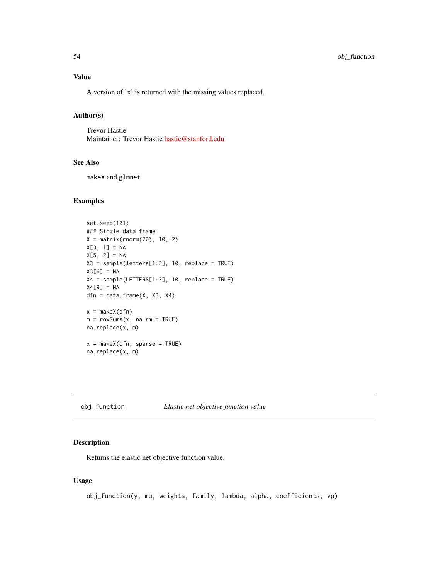<span id="page-53-0"></span>A version of 'x' is returned with the missing values replaced.

## Author(s)

Trevor Hastie Maintainer: Trevor Hastie [hastie@stanford.edu](mailto:hastie@stanford.edu)

#### See Also

makeX and glmnet

## Examples

```
set.seed(101)
### Single data frame
X = matrix(rnorm(20), 10, 2)X[3, 1] = NAX[5, 2] = NAX3 = sample(letters[1:3], 10, replace = TRUE)
X3[6] = NA
X4 = sample(LETTERS[1:3], 10, replace = TRUE)
X4[9] = NAdfn = data.frame(X, X3, X4)x = makeX(dfn)
m = rowSums(x, na.rm = TRUE)na.replace(x, m)
x = makeX(dfn, sparse = TRUE)na.replace(x, m)
```
obj\_function *Elastic net objective function value*

## Description

Returns the elastic net objective function value.

#### Usage

```
obj_function(y, mu, weights, family, lambda, alpha, coefficients, vp)
```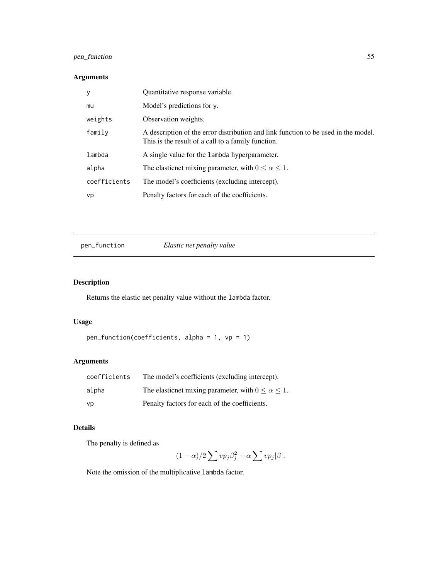# <span id="page-54-0"></span>pen\_function 55

# Arguments

| У            | Quantitative response variable.                                                                                                          |
|--------------|------------------------------------------------------------------------------------------------------------------------------------------|
| mu           | Model's predictions for y.                                                                                                               |
| weights      | Observation weights.                                                                                                                     |
| family       | A description of the error distribution and link function to be used in the model.<br>This is the result of a call to a family function. |
| lambda       | A single value for the lambda hyperparameter.                                                                                            |
| alpha        | The elasticnet mixing parameter, with $0 \le \alpha \le 1$ .                                                                             |
| coefficients | The model's coefficients (excluding intercept).                                                                                          |
| vp           | Penalty factors for each of the coefficients.                                                                                            |

## pen\_function *Elastic net penalty value*

# Description

Returns the elastic net penalty value without the lambda factor.

## Usage

```
pen_function(coefficients, alpha = 1, vp = 1)
```
# Arguments

| coefficients | The model's coefficients (excluding intercept).              |
|--------------|--------------------------------------------------------------|
| alpha        | The elasticnet mixing parameter, with $0 \le \alpha \le 1$ . |
| vp           | Penalty factors for each of the coefficients.                |

# Details

The penalty is defined as

$$
(1 - \alpha)/2 \sum v p_j \beta_j^2 + \alpha \sum v p_j |\beta|.
$$

Note the omission of the multiplicative lambda factor.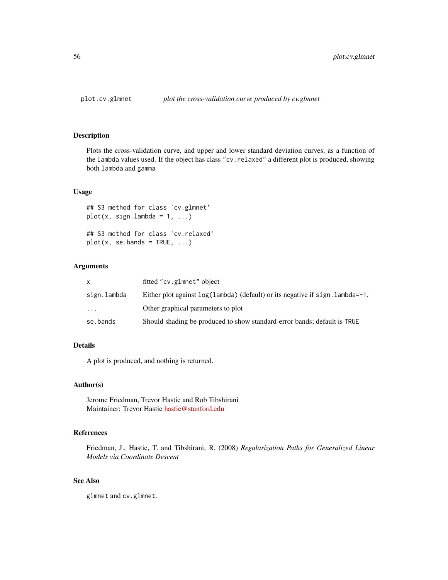#### Description

Plots the cross-validation curve, and upper and lower standard deviation curves, as a function of the lambda values used. If the object has class "cv.relaxed" a different plot is produced, showing both lambda and gamma

## Usage

```
## S3 method for class 'cv.glmnet'
plot(x, sign.lambda = 1, ...)## S3 method for class 'cv.relaxed'
plot(x, se.bands = TRUE, ...)
```
## Arguments

| x           | fitted "cv.glmnet" object                                                          |
|-------------|------------------------------------------------------------------------------------|
| sign.lambda | Either plot against $log(1)$ ambda (default) or its negative if sign. lambda = -1. |
| $\ddotsc$   | Other graphical parameters to plot                                                 |
| se.bands    | Should shading be produced to show standard-error bands; default is TRUE           |

## Details

A plot is produced, and nothing is returned.

## Author(s)

Jerome Friedman, Trevor Hastie and Rob Tibshirani Maintainer: Trevor Hastie [hastie@stanford.edu](mailto:hastie@stanford.edu)

## References

Friedman, J., Hastie, T. and Tibshirani, R. (2008) *Regularization Paths for Generalized Linear Models via Coordinate Descent*

# See Also

glmnet and cv.glmnet.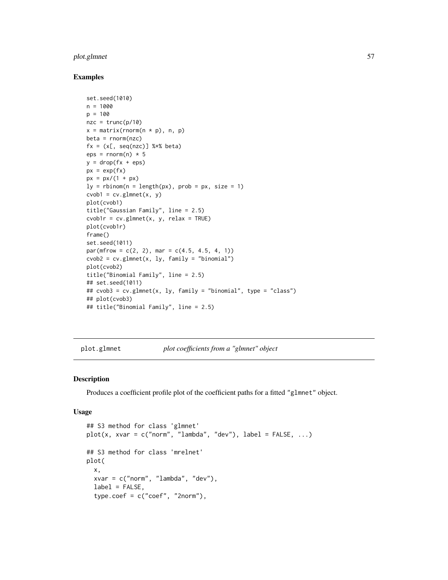# <span id="page-56-0"></span>plot.glmnet 57

## Examples

```
set.seed(1010)
n = 1000
p = 100nze = trunc(p/10)x = matrix(rnorm(n * p), n, p)beta = rnorm(nzc)fx = (x[, seq(nzc)] %*% beta)
eps = rnorm(n) * 5y = drop(fx +eps)px = exp(fx)px = px/(1 + px)ly = \text{rbinom}(n = \text{length}(px), \text{prob} = px, \text{ size} = 1)cvob1 = cv.glmnet(x, y)plot(cvob1)
title("Gaussian Family", line = 2.5)
cvob1r = cv.glmnet(x, y, relax = TRUE)
plot(cvob1r)
frame()
set.seed(1011)
par(mfrow = c(2, 2), mar = c(4.5, 4.5, 4, 1))cvob2 = cv.glmnet(x, ly, family = "binomial")plot(cvob2)
title("Binomial Family", line = 2.5)
## set.seed(1011)
## cvob3 = cv.glmnet(x, ly, family = "binomial", type = "class")
## plot(cvob3)
## title("Binomial Family", line = 2.5)
```
plot.glmnet *plot coefficients from a "glmnet" object*

#### Description

Produces a coefficient profile plot of the coefficient paths for a fitted "glmnet" object.

#### Usage

```
## S3 method for class 'glmnet'
plot(x, xvar = c("norm", "lambda", "dev"), label = FALSE, ...)## S3 method for class 'mrelnet'
plot(
 x,
 xvar = c("norm", "lambda", "dev"),
 label = FALSE,
  type.coef = c("coef", "2norm"),
```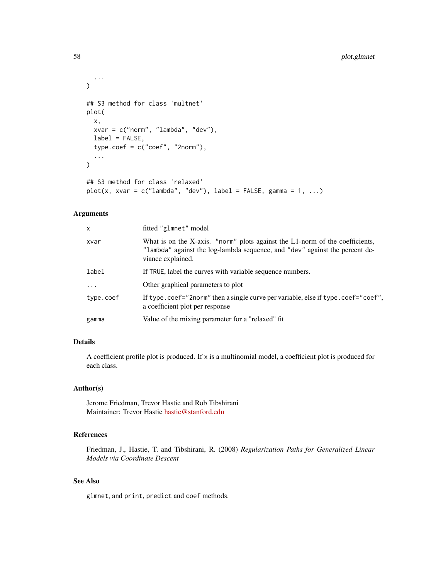```
...
)
## S3 method for class 'multnet'
plot(
  x,
  xvar = c("norm", "lambda", "dev"),
  label = FALSE,
  type.coef = c("coef", "2norm"),
  ...
\mathcal{L}## S3 method for class 'relaxed'
plot(x, xvar = c("lambda", "dev"), label = FALSE, gamma = 1, ...)
```
## Arguments

| x         | fitted "glmnet" model                                                                                                                                                            |
|-----------|----------------------------------------------------------------------------------------------------------------------------------------------------------------------------------|
| xvar      | What is on the X-axis. "norm" plots against the L1-norm of the coefficients,<br>"lambda" against the log-lambda sequence, and "dev" against the percent de-<br>viance explained. |
| label     | If TRUE, label the curves with variable sequence numbers.                                                                                                                        |
| .         | Other graphical parameters to plot                                                                                                                                               |
| type.coef | If type.coef="2norm" then a single curve per variable, else if type.coef="coef",<br>a coefficient plot per response                                                              |
| gamma     | Value of the mixing parameter for a "relaxed" fit                                                                                                                                |

## Details

A coefficient profile plot is produced. If x is a multinomial model, a coefficient plot is produced for each class.

#### Author(s)

Jerome Friedman, Trevor Hastie and Rob Tibshirani Maintainer: Trevor Hastie [hastie@stanford.edu](mailto:hastie@stanford.edu)

# References

Friedman, J., Hastie, T. and Tibshirani, R. (2008) *Regularization Paths for Generalized Linear Models via Coordinate Descent*

## See Also

glmnet, and print, predict and coef methods.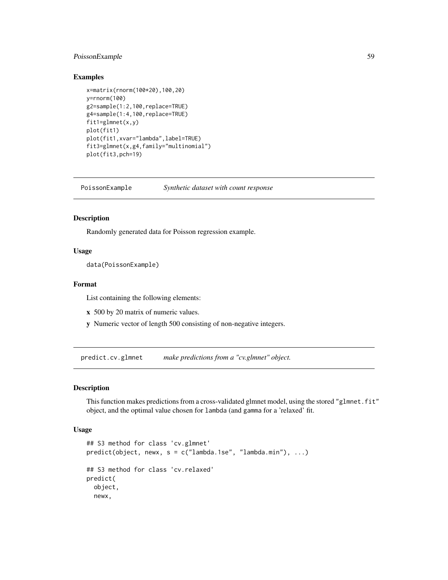## <span id="page-58-0"></span>PoissonExample 59

## Examples

```
x=matrix(rnorm(100*20),100,20)
y=rnorm(100)
g2=sample(1:2,100,replace=TRUE)
g4=sample(1:4,100,replace=TRUE)
fit1=glmnet(x,y)
plot(fit1)
plot(fit1,xvar="lambda",label=TRUE)
fit3=glmnet(x,g4,family="multinomial")
plot(fit3,pch=19)
```
PoissonExample *Synthetic dataset with count response*

#### Description

Randomly generated data for Poisson regression example.

## Usage

```
data(PoissonExample)
```
#### Format

List containing the following elements:

- x 500 by 20 matrix of numeric values.
- y Numeric vector of length 500 consisting of non-negative integers.

predict.cv.glmnet *make predictions from a "cv.glmnet" object.*

# Description

This function makes predictions from a cross-validated glmnet model, using the stored "glmnet.fit" object, and the optimal value chosen for lambda (and gamma for a 'relaxed' fit.

#### Usage

```
## S3 method for class 'cv.glmnet'
predict(object, newx, s = c("lambda.1se", "lambda.mbda.min"), ...)## S3 method for class 'cv.relaxed'
predict(
  object,
  newx,
```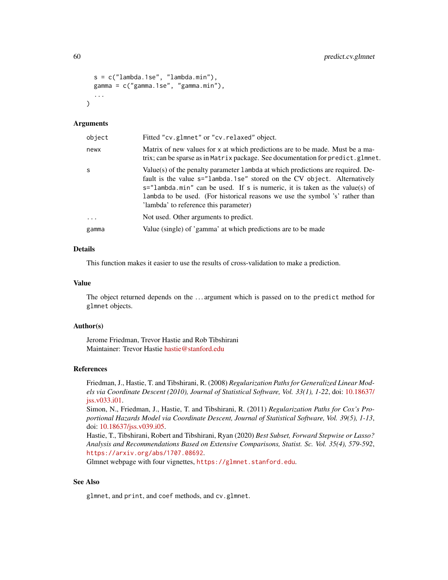```
s = c("lambda.1se", "lambda.min"),
  gamma = c("gamma.1se", "gamma.min"),
  ...
\lambda
```
#### Arguments

| object    | Fitted "cv.glmnet" or "cv.relaxed" object.                                                                                                                                                                                                                                                                                                                               |
|-----------|--------------------------------------------------------------------------------------------------------------------------------------------------------------------------------------------------------------------------------------------------------------------------------------------------------------------------------------------------------------------------|
| newx      | Matrix of new values for x at which predictions are to be made. Must be a ma-<br>trix; can be sparse as in Matrix package. See documentation for predict.glmnet.                                                                                                                                                                                                         |
| S         | Value(s) of the penalty parameter 1 ambda at which predictions are required. De-<br>fault is the value s="lambda.1se" stored on the CV object. Alternatively<br>$s =$ "lambda.min" can be used. If s is numeric, it is taken as the value(s) of<br>lambda to be used. (For historical reasons we use the symbol 's' rather than<br>'lambda' to reference this parameter) |
| $\ddotsc$ | Not used. Other arguments to predict.                                                                                                                                                                                                                                                                                                                                    |
| gamma     | Value (single) of 'gamma' at which predictions are to be made                                                                                                                                                                                                                                                                                                            |

## Details

This function makes it easier to use the results of cross-validation to make a prediction.

## Value

The object returned depends on the . . . argument which is passed on to the predict method for glmnet objects.

#### Author(s)

Jerome Friedman, Trevor Hastie and Rob Tibshirani Maintainer: Trevor Hastie [hastie@stanford.edu](mailto:hastie@stanford.edu)

#### References

Friedman, J., Hastie, T. and Tibshirani, R. (2008) *Regularization Paths for Generalized Linear Models via Coordinate Descent (2010), Journal of Statistical Software, Vol. 33(1), 1-22*, doi: [10.18637/](https://doi.org/10.18637/jss.v033.i01) [jss.v033.i01.](https://doi.org/10.18637/jss.v033.i01)

Simon, N., Friedman, J., Hastie, T. and Tibshirani, R. (2011) *Regularization Paths for Cox's Proportional Hazards Model via Coordinate Descent, Journal of Statistical Software, Vol. 39(5), 1-13*, doi: [10.18637/jss.v039.i05.](https://doi.org/10.18637/jss.v039.i05)

Hastie, T., Tibshirani, Robert and Tibshirani, Ryan (2020) *Best Subset, Forward Stepwise or Lasso? Analysis and Recommendations Based on Extensive Comparisons, Statist. Sc. Vol. 35(4), 579-592*, <https://arxiv.org/abs/1707.08692>.

Glmnet webpage with four vignettes, <https://glmnet.stanford.edu>.

## See Also

glmnet, and print, and coef methods, and cv.glmnet.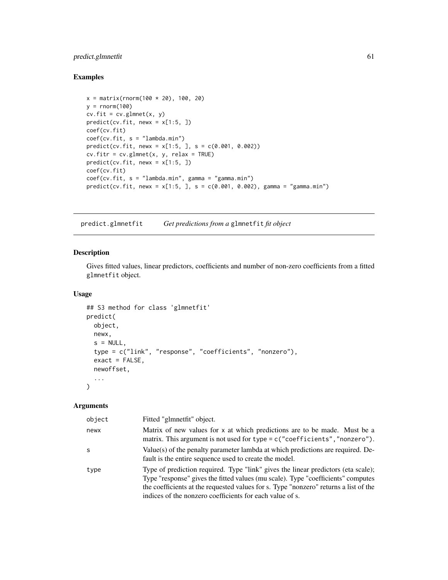# <span id="page-60-0"></span>predict.glmnetfit 61

# Examples

```
x = matrix(rnorm(100 * 20), 100, 20)y = rnorm(100)cv.fit = cv.glmnet(x, y)predict(cv.fit, newx = x[1:5, ])coef(cv.fit)
coef(cv.fit, s = "lambda.min")
predict(cv.fit, new = x[1:5, ], s = c(0.001, 0.002))cv.fitr = cv.glmnet(x, y, relax = TRUE)predict(cv.fit, newx = x[1:5, ])coef(cv.fit)
coef(cv.fit, s = "lambda.min", gamma = "gamma.min")
predict(cv.fit, newx = x[1:5, ], s = c(0.001, 0.002), gamma = "gamma.min")
```
predict.glmnetfit *Get predictions from a* glmnetfit *fit object*

## Description

Gives fitted values, linear predictors, coefficients and number of non-zero coefficients from a fitted glmnetfit object.

## Usage

```
## S3 method for class 'glmnetfit'
predict(
 object,
 newx,
  s = NULL,type = c("link", "response", "coefficients", "nonzero"),
  exact = FALSE,newoffset,
  ...
)
```
#### Arguments

| object | Fitted "glmnetfit" object.                                                                                                                                                                                                                                                                                                |
|--------|---------------------------------------------------------------------------------------------------------------------------------------------------------------------------------------------------------------------------------------------------------------------------------------------------------------------------|
| newx   | Matrix of new values for x at which predictions are to be made. Must be a<br>matrix. This argument is not used for type = c("coefficients", "nonzero").                                                                                                                                                                   |
| S      | Value(s) of the penalty parameter lambda at which predictions are required. De-<br>fault is the entire sequence used to create the model.                                                                                                                                                                                 |
| type   | Type of prediction required. Type "link" gives the linear predictors (eta scale);<br>Type "response" gives the fitted values (mu scale). Type "coefficients" computes<br>the coefficients at the requested values for s. Type "nonzero" returns a list of the<br>indices of the nonzero coefficients for each value of s. |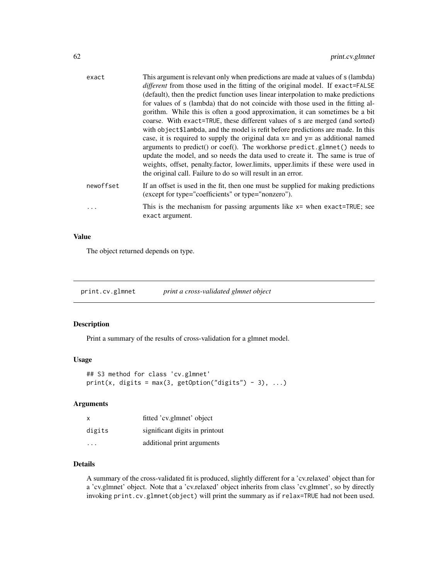<span id="page-61-0"></span>

| exact     | This argument is relevant only when predictions are made at values of s (lambda)<br>different from those used in the fitting of the original model. If exact=FALSE<br>(default), then the predict function uses linear interpolation to make predictions<br>for values of s (lambda) that do not coincide with those used in the fitting al-<br>gorithm. While this is often a good approximation, it can sometimes be a bit<br>coarse. With exact=TRUE, these different values of s are merged (and sorted)<br>with object\$1ambda, and the model is refit before predictions are made. In this<br>case, it is required to supply the original data $x =$ and $y =$ as additional named<br>arguments to predict() or coef(). The workhorse predict.glmnet() needs to<br>update the model, and so needs the data used to create it. The same is true of<br>weights, offset, penalty. factor, lower. limits, upper. limits if these were used in<br>the original call. Failure to do so will result in an error. |
|-----------|-----------------------------------------------------------------------------------------------------------------------------------------------------------------------------------------------------------------------------------------------------------------------------------------------------------------------------------------------------------------------------------------------------------------------------------------------------------------------------------------------------------------------------------------------------------------------------------------------------------------------------------------------------------------------------------------------------------------------------------------------------------------------------------------------------------------------------------------------------------------------------------------------------------------------------------------------------------------------------------------------------------------|
| newoffset | If an offset is used in the fit, then one must be supplied for making predictions<br>(except for type="coefficients" or type="nonzero").                                                                                                                                                                                                                                                                                                                                                                                                                                                                                                                                                                                                                                                                                                                                                                                                                                                                        |
| $\cdots$  | This is the mechanism for passing arguments like $x =$ when exact=TRUE; see<br>exact argument.                                                                                                                                                                                                                                                                                                                                                                                                                                                                                                                                                                                                                                                                                                                                                                                                                                                                                                                  |
|           |                                                                                                                                                                                                                                                                                                                                                                                                                                                                                                                                                                                                                                                                                                                                                                                                                                                                                                                                                                                                                 |

## Value

The object returned depends on type.

print.cv.glmnet *print a cross-validated glmnet object*

## Description

Print a summary of the results of cross-validation for a glmnet model.

## Usage

```
## S3 method for class 'cv.glmnet'
print(x, digits = max(3, getOption("digits") - 3), ...)
```
## Arguments

| х      | fitted 'cv.glmnet' object      |
|--------|--------------------------------|
| digits | significant digits in printout |
| .      | additional print arguments     |

# Details

A summary of the cross-validated fit is produced, slightly different for a 'cv.relaxed' object than for a 'cv.glmnet' object. Note that a 'cv.relaxed' object inherits from class 'cv.glmnet', so by directly invoking print.cv.glmnet(object) will print the summary as if relax=TRUE had not been used.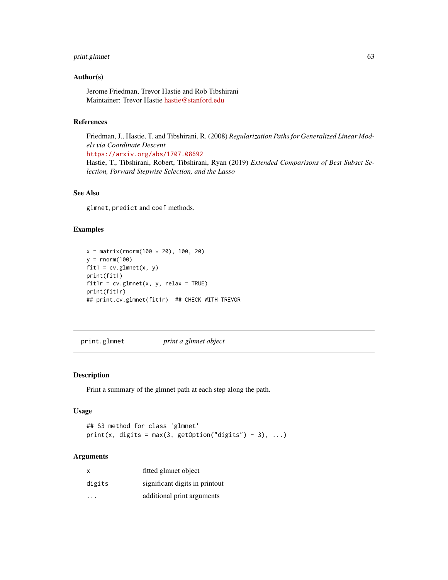## <span id="page-62-0"></span>print.glmnet 63

## Author(s)

Jerome Friedman, Trevor Hastie and Rob Tibshirani Maintainer: Trevor Hastie [hastie@stanford.edu](mailto:hastie@stanford.edu)

#### References

Friedman, J., Hastie, T. and Tibshirani, R. (2008) *Regularization Paths for Generalized Linear Models via Coordinate Descent* <https://arxiv.org/abs/1707.08692>

Hastie, T., Tibshirani, Robert, Tibshirani, Ryan (2019) *Extended Comparisons of Best Subset Selection, Forward Stepwise Selection, and the Lasso*

# See Also

glmnet, predict and coef methods.

# Examples

```
x = matrix(rnorm(100 * 20), 100, 20)y = rnorm(100)fit1 = cv.glmnet(x, y)print(fit1)
fit1r = cv.glmnet(x, y, relax = TRUE)print(fit1r)
## print.cv.glmnet(fit1r) ## CHECK WITH TREVOR
```
print.glmnet *print a glmnet object*

## Description

Print a summary of the glmnet path at each step along the path.

#### Usage

```
## S3 method for class 'glmnet'
print(x, \text{ digits} = max(3, \text{ getOption("digits") - 3), ...)
```
## Arguments

| x      | fitted glmnet object           |
|--------|--------------------------------|
| digits | significant digits in printout |
|        | additional print arguments     |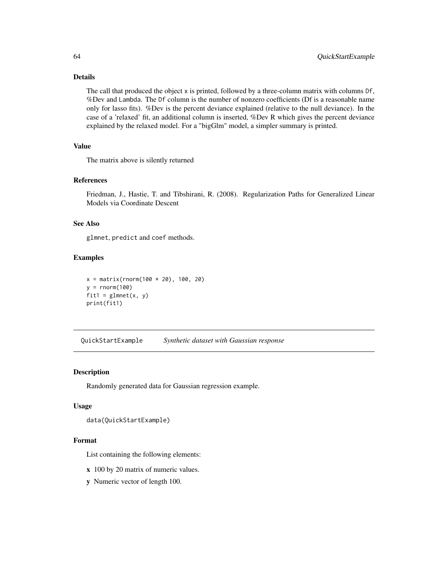## Details

The call that produced the object x is printed, followed by a three-column matrix with columns Df, %Dev and Lambda. The Df column is the number of nonzero coefficients (Df is a reasonable name only for lasso fits). %Dev is the percent deviance explained (relative to the null deviance). In the case of a 'relaxed' fit, an additional column is inserted, %Dev R which gives the percent deviance explained by the relaxed model. For a "bigGlm" model, a simpler summary is printed.

# Value

The matrix above is silently returned

## References

Friedman, J., Hastie, T. and Tibshirani, R. (2008). Regularization Paths for Generalized Linear Models via Coordinate Descent

## See Also

glmnet, predict and coef methods.

# Examples

```
x = matrix(rnorm(100 * 20), 100, 20)y = rnorm(100)fit1 = glmnet(x, y)print(fit1)
```
QuickStartExample *Synthetic dataset with Gaussian response*

#### Description

Randomly generated data for Gaussian regression example.

## Usage

```
data(QuickStartExample)
```
#### Format

List containing the following elements:

- x 100 by 20 matrix of numeric values.
- y Numeric vector of length 100.

<span id="page-63-0"></span>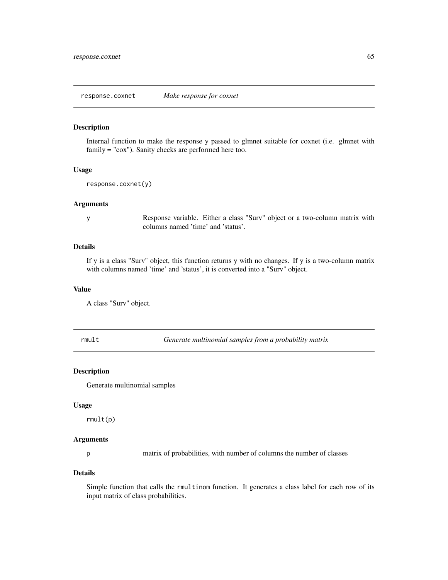<span id="page-64-0"></span>response.coxnet *Make response for coxnet*

#### Description

Internal function to make the response y passed to glmnet suitable for coxnet (i.e. glmnet with family = "cox"). Sanity checks are performed here too.

#### Usage

```
response.coxnet(y)
```
#### Arguments

y Response variable. Either a class "Surv" object or a two-column matrix with columns named 'time' and 'status'.

# Details

If y is a class "Surv" object, this function returns y with no changes. If y is a two-column matrix with columns named 'time' and 'status', it is converted into a "Surv" object.

## Value

A class "Surv" object.

rmult *Generate multinomial samples from a probability matrix*

#### Description

Generate multinomial samples

#### Usage

rmult(p)

## Arguments

p matrix of probabilities, with number of columns the number of classes

#### Details

Simple function that calls the rmultinom function. It generates a class label for each row of its input matrix of class probabilities.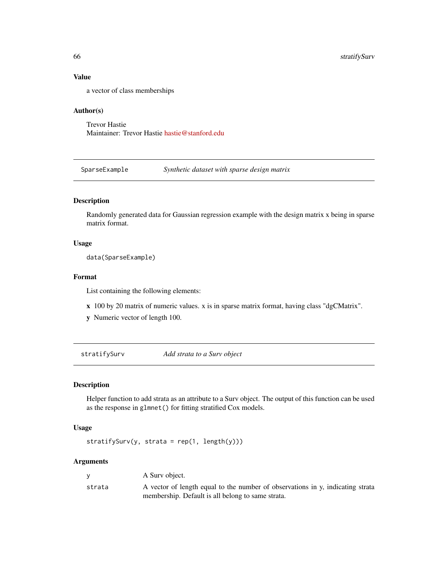## Value

a vector of class memberships

## Author(s)

Trevor Hastie Maintainer: Trevor Hastie [hastie@stanford.edu](mailto:hastie@stanford.edu)

SparseExample *Synthetic dataset with sparse design matrix*

# Description

Randomly generated data for Gaussian regression example with the design matrix x being in sparse matrix format.

## Usage

data(SparseExample)

## Format

List containing the following elements:

- x 100 by 20 matrix of numeric values. x is in sparse matrix format, having class "dgCMatrix".
- y Numeric vector of length 100.

stratifySurv *Add strata to a Surv object*

## Description

Helper function to add strata as an attribute to a Surv object. The output of this function can be used as the response in glmnet() for fitting stratified Cox models.

# Usage

stratifySurv(y, strata = rep(1, length(y)))

#### Arguments

|        | A Surv object.                                                                 |
|--------|--------------------------------------------------------------------------------|
| strata | A vector of length equal to the number of observations in y, indicating strata |
|        | membership. Default is all belong to same strata.                              |

<span id="page-65-0"></span>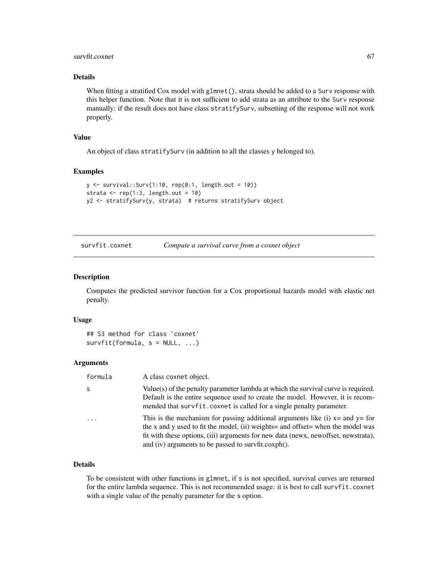## <span id="page-66-0"></span>survfit.coxnet 67

## Details

When fitting a stratified Cox model with glmnet(), strata should be added to a Surv response with this helper function. Note that it is not sufficient to add strata as an attribute to the Surv response manually: if the result does not have class stratifySurv, subsetting of the response will not work properly.

## Value

An object of class stratifySurv (in addition to all the classes y belonged to).

#### Examples

```
y \le - survival::Surv(1:10, rep(0:1, length.out = 10))
strata \leq rep(1:3, length.out = 10)
y2 <- stratifySurv(y, strata) # returns stratifySurv object
```

| survfit.coxnet | Compute a survival curve from a coxnet object |  |
|----------------|-----------------------------------------------|--|
|                |                                               |  |

## Description

Computes the predicted survivor function for a Cox proportional hazards model with elastic net penalty.

#### Usage

```
## S3 method for class 'coxnet'
survfit(formula, s = NULL, ...)
```
#### Arguments

| formula    | A class coxnet object.                                                                                                                                                                                                                                                                                          |
|------------|-----------------------------------------------------------------------------------------------------------------------------------------------------------------------------------------------------------------------------------------------------------------------------------------------------------------|
| S          | Value(s) of the penalty parameter lambda at which the survival curve is required.<br>Default is the entire sequence used to create the model. However, it is recom-<br>mended that survfit. coxnet is called for a single penalty parameter.                                                                    |
| $\ddots$ . | This is the mechanism for passing additional arguments like (i) $x=$ and $y=$ for<br>the x and y used to fit the model, (ii) weights and offset when the model was<br>fit with these options, (iii) arguments for new data (newx, newoffset, newstrata),<br>and (iv) arguments to be passed to survfit.coxph(). |

## Details

To be consistent with other functions in glmnet, if s is not specified, survival curves are returned for the entire lambda sequence. This is not recommended usage: it is best to call survfit.coxnet with a single value of the penalty parameter for the s option.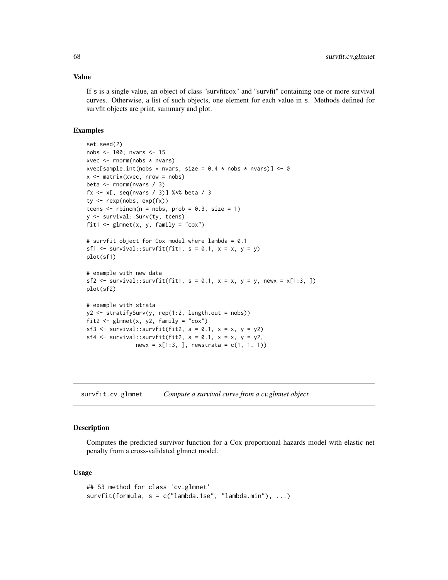#### Value

If s is a single value, an object of class "survfitcox" and "survfit" containing one or more survival curves. Otherwise, a list of such objects, one element for each value in s. Methods defined for survfit objects are print, summary and plot.

#### Examples

```
set.seed(2)
nobs <- 100; nvars <- 15
xvec <- rnorm(nobs * nvars)
xvec[sample.int(nobs * nvars, size = 0.4 * nobs * nvars)] <- 0
x <- matrix(xvec, nrow = nobs)
beta <- rnorm(nvars / 3)
fx <- x[, seq(nvars / 3)] %*% beta / 3
ty <- rexp(nobs, exp(fx))
tcens \le - rbinom(n = nobs, prob = 0.3, size = 1)
y <- survival::Surv(ty, tcens)
fit1 <- glmnet(x, y, family = "cox")# survfit object for Cox model where lambda = 0.1
sf1 <- survival::survfit(fit1, s = 0.1, x = x, y = y)
plot(sf1)
# example with new data
sf2 <- survival::survfit(fit1, s = 0.1, x = x, y = y, newx = x[1:3, 1])
plot(sf2)
# example with strata
y2 <- stratifySurv(y, rep(1:2, length.out = nobs))
fit2 <- glmnet(x, y2, family = "cox")sf3 <- survival::survfit(fit2, s = 0.1, x = x, y = y2)
sf4 <- survival::survfit(fit2, s = 0.1, x = x, y = y2,
               newx = x[1:3, ], newstrata = c(1, 1, 1))
```
survfit.cv.glmnet *Compute a survival curve from a cv.glmnet object*

#### Description

Computes the predicted survivor function for a Cox proportional hazards model with elastic net penalty from a cross-validated glmnet model.

#### Usage

```
## S3 method for class 'cv.glmnet'
survfit(formula, s = c("lambda.1se", "lambda.miba.min"), ...)
```
<span id="page-67-0"></span>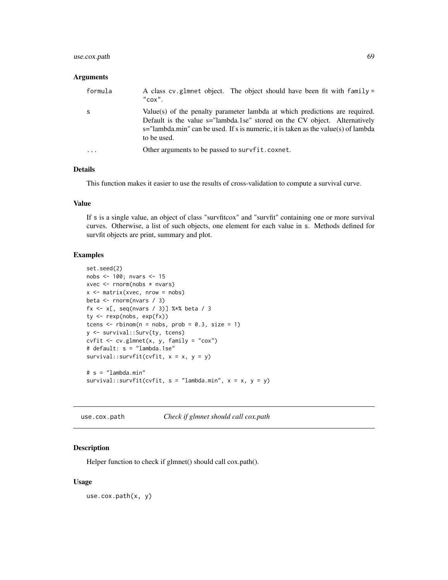## <span id="page-68-0"></span>use.cox.path 69

#### Arguments

| formula | A class cv. glmnet object. The object should have been fit with family =<br>$"$ cox $"$ .                                                                                                                                                                      |
|---------|----------------------------------------------------------------------------------------------------------------------------------------------------------------------------------------------------------------------------------------------------------------|
| S       | Value(s) of the penalty parameter lambda at which predictions are required.<br>Default is the value s="lambda.1se" stored on the CV object. Alternatively<br>s="lambda.min" can be used. If s is numeric, it is taken as the value(s) of lambda<br>to be used. |
| .       | Other arguments to be passed to survfit.coxnet.                                                                                                                                                                                                                |

## Details

This function makes it easier to use the results of cross-validation to compute a survival curve.

## Value

If s is a single value, an object of class "survfitcox" and "survfit" containing one or more survival curves. Otherwise, a list of such objects, one element for each value in s. Methods defined for survfit objects are print, summary and plot.

## Examples

```
set.seed(2)
nobs <- 100; nvars <- 15
xvec \leq rnorm(nobs \star nvars)
x <- matrix(xvec, nrow = nobs)
beta <- rnorm(nvars / 3)
fx <- x[, seq(nvars / 3)] %*% beta / 3
ty <- rexp(nobs, exp(fx))
tcens \le - rbinom(n = nobs, prob = 0.3, size = 1)
y <- survival::Surv(ty, tcens)
cvfit \leq cv.glmnet(x, y, family = "cox")
# default: s = "lambda.1se"
survival::survfit(cvfit, x = x, y = y)# s = "lambda.min"
survival::survfit(cvfit, s = "lambda.mbda.min", x = x, y = y)
```
use.cox.path *Check if glmnet should call cox.path*

## Description

Helper function to check if glmnet() should call cox.path().

## Usage

use.cox.path(x, y)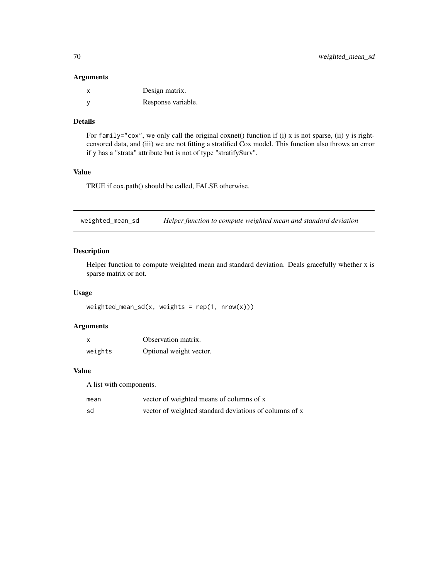## <span id="page-69-0"></span>Arguments

| x        | Design matrix.     |
|----------|--------------------|
| <b>V</b> | Response variable. |

## Details

For family="cox", we only call the original coxnet() function if (i) x is not sparse, (ii) y is rightcensored data, and (iii) we are not fitting a stratified Cox model. This function also throws an error if y has a "strata" attribute but is not of type "stratifySurv".

## Value

TRUE if cox.path() should be called, FALSE otherwise.

weighted\_mean\_sd *Helper function to compute weighted mean and standard deviation*

## Description

Helper function to compute weighted mean and standard deviation. Deals gracefully whether x is sparse matrix or not.

## Usage

```
weighted_mean_s d(x, weights = rep(1, nrow(x)))
```
## Arguments

|         | Observation matrix.     |
|---------|-------------------------|
| weights | Optional weight vector. |

## Value

A list with components.

| mean | vector of weighted means of columns of x               |
|------|--------------------------------------------------------|
| sd   | vector of weighted standard deviations of columns of x |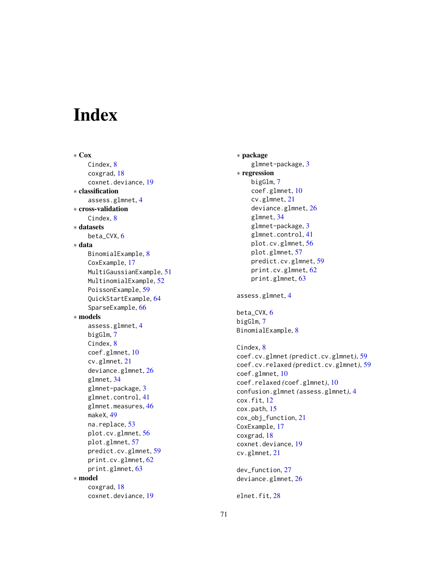# **Index**

∗ Cox Cindex, [8](#page-7-0) coxgrad, [18](#page-17-0) coxnet.deviance, [19](#page-18-0) ∗ classification assess.glmnet, [4](#page-3-0) ∗ cross-validation Cindex, [8](#page-7-0) ∗ datasets beta  $CVX, 6$  $CVX, 6$ ∗ data BinomialExample, [8](#page-7-0) CoxExample, [17](#page-16-0) MultiGaussianExample, [51](#page-50-0) MultinomialExample, [52](#page-51-0) PoissonExample, [59](#page-58-0) QuickStartExample, [64](#page-63-0) SparseExample, [66](#page-65-0) ∗ models assess.glmnet, [4](#page-3-0) bigGlm, [7](#page-6-0) Cindex, [8](#page-7-0) coef.glmnet, [10](#page-9-0) cv.glmnet, [21](#page-20-0) deviance.glmnet, [26](#page-25-0) glmnet, [34](#page-33-0) glmnet-package, [3](#page-2-0) glmnet.control, [41](#page-40-0) glmnet.measures, [46](#page-45-0) makeX, [49](#page-48-0) na.replace, [53](#page-52-0) plot.cv.glmnet, [56](#page-55-0) plot.glmnet, [57](#page-56-0) predict.cv.glmnet, [59](#page-58-0) print.cv.glmnet, [62](#page-61-0) print.glmnet, [63](#page-62-0) ∗ model coxgrad, [18](#page-17-0) coxnet.deviance, [19](#page-18-0)

∗ package glmnet-package, [3](#page-2-0) ∗ regression bigGlm, [7](#page-6-0) coef.glmnet, [10](#page-9-0) cv.glmnet, [21](#page-20-0) deviance.glmnet, [26](#page-25-0) glmnet, [34](#page-33-0) glmnet-package, [3](#page-2-0) glmnet.control, [41](#page-40-0) plot.cv.glmnet, [56](#page-55-0) plot.glmnet, [57](#page-56-0) predict.cv.glmnet, [59](#page-58-0) print.cv.glmnet, [62](#page-61-0) print.glmnet, [63](#page-62-0) assess.glmnet, [4](#page-3-0) beta\_CVX, [6](#page-5-0) bigGlm, [7](#page-6-0) BinomialExample, [8](#page-7-0) Cindex, [8](#page-7-0) coef.cv.glmnet *(*predict.cv.glmnet*)*, [59](#page-58-0) coef.cv.relaxed *(*predict.cv.glmnet*)*, [59](#page-58-0) coef.glmnet, [10](#page-9-0) coef.relaxed *(*coef.glmnet*)*, [10](#page-9-0) confusion.glmnet *(*assess.glmnet*)*, [4](#page-3-0) cox.fit, [12](#page-11-0) cox.path, [15](#page-14-0) cox\_obj\_function, [21](#page-20-0) CoxExample, [17](#page-16-0) coxgrad, [18](#page-17-0) coxnet.deviance, [19](#page-18-0) cv.glmnet, [21](#page-20-0) dev\_function, [27](#page-26-0) deviance.glmnet, [26](#page-25-0)

elnet.fit, [28](#page-27-0)